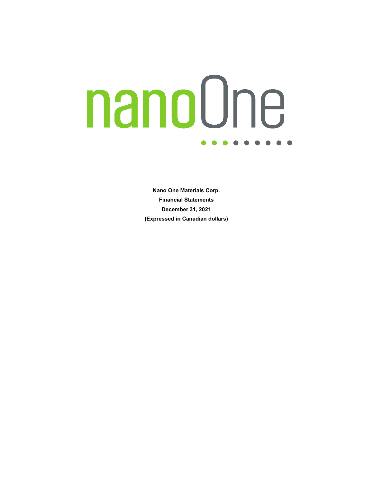### nanoOne **O** - 0- 0 . . .  $\bullet$

**Nano One Materials Corp. Financial Statements December 31, 2021 (Expressed in Canadian dollars)**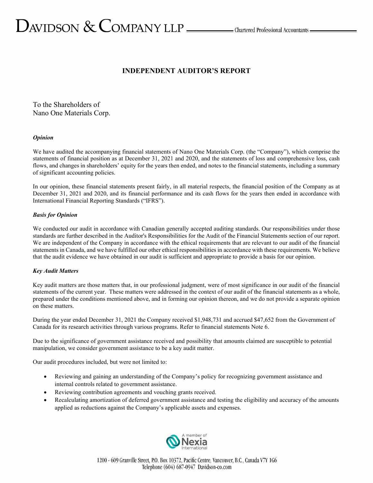## $\sum$ AVIDSON  $\&$  COMPANY LLP  $\_\_\_\_\$ Chartered Professional Accountants  $\_\_\_\$

#### **INDEPENDENT AUDITOR'S REPORT**

To the Shareholders of Nano One Materials Corp.

#### *Opinion*

We have audited the accompanying financial statements of Nano One Materials Corp. (the "Company"), which comprise the statements of financial position as at December 31, 2021 and 2020, and the statements of loss and comprehensive loss, cash flows, and changes in shareholders' equity for the years then ended, and notes to the financial statements, including a summary of significant accounting policies.

In our opinion, these financial statements present fairly, in all material respects, the financial position of the Company as at December 31, 2021 and 2020, and its financial performance and its cash flows for the years then ended in accordance with International Financial Reporting Standards ("IFRS").

#### *Basis for Opinion*

We conducted our audit in accordance with Canadian generally accepted auditing standards. Our responsibilities under those standards are further described in the Auditor's Responsibilities for the Audit of the Financial Statements section of our report. We are independent of the Company in accordance with the ethical requirements that are relevant to our audit of the financial statements in Canada, and we have fulfilled our other ethical responsibilities in accordance with these requirements. We believe that the audit evidence we have obtained in our audit is sufficient and appropriate to provide a basis for our opinion.

#### *Key Audit Matters*

Key audit matters are those matters that, in our professional judgment, were of most significance in our audit of the financial statements of the current year. These matters were addressed in the context of our audit of the financial statements as a whole, prepared under the conditions mentioned above, and in forming our opinion thereon, and we do not provide a separate opinion on these matters.

During the year ended December 31, 2021 the Company received \$1,948,731 and accrued \$47,652 from the Government of Canada for its research activities through various programs. Refer to financial statements Note 6.

Due to the significance of government assistance received and possibility that amounts claimed are susceptible to potential manipulation, we consider government assistance to be a key audit matter.

Our audit procedures included, but were not limited to:

- Reviewing and gaining an understanding of the Company's policy for recognizing government assistance and internal controls related to government assistance.
- Reviewing contribution agreements and vouching grants received.
- Recalculating amortization of deferred government assistance and testing the eligibility and accuracy of the amounts applied as reductions against the Company's applicable assets and expenses.

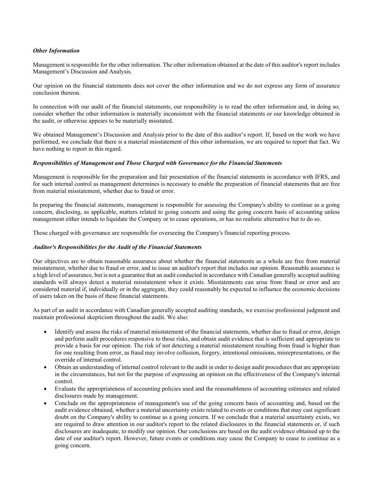#### *Other Information*

Management is responsible for the other information. The other information obtained at the date of this auditor's report includes Management's Discussion and Analysis.

Our opinion on the financial statements does not cover the other information and we do not express any form of assurance conclusion thereon.

In connection with our audit of the financial statements, our responsibility is to read the other information and, in doing so, consider whether the other information is materially inconsistent with the financial statements or our knowledge obtained in the audit, or otherwise appears to be materially misstated.

We obtained Management's Discussion and Analysis prior to the date of this auditor's report. If, based on the work we have performed, we conclude that there is a material misstatement of this other information, we are required to report that fact. We have nothing to report in this regard.

#### *Responsibilities of Management and Those Charged with Governance for the Financial Statements*

Management is responsible for the preparation and fair presentation of the financial statements in accordance with IFRS, and for such internal control as management determines is necessary to enable the preparation of financial statements that are free from material misstatement, whether due to fraud or error.

In preparing the financial statements, management is responsible for assessing the Company's ability to continue as a going concern, disclosing, as applicable, matters related to going concern and using the going concern basis of accounting unless management either intends to liquidate the Company or to cease operations, or has no realistic alternative but to do so.

Those charged with governance are responsible for overseeing the Company's financial reporting process.

#### *Auditor's Responsibilities for the Audit of the Financial Statements*

Our objectives are to obtain reasonable assurance about whether the financial statements as a whole are free from material misstatement, whether due to fraud or error, and to issue an auditor's report that includes our opinion. Reasonable assurance is a high level of assurance, but is not a guarantee that an audit conducted in accordance with Canadian generally accepted auditing standards will always detect a material misstatement when it exists. Misstatements can arise from fraud or error and are considered material if, individually or in the aggregate, they could reasonably be expected to influence the economic decisions of users taken on the basis of these financial statements.

As part of an audit in accordance with Canadian generally accepted auditing standards, we exercise professional judgment and maintain professional skepticism throughout the audit. We also:

- Identify and assess the risks of material misstatement of the financial statements, whether due to fraud or error, design and perform audit procedures responsive to those risks, and obtain audit evidence that is sufficient and appropriate to provide a basis for our opinion. The risk of not detecting a material misstatement resulting from fraud is higher than for one resulting from error, as fraud may involve collusion, forgery, intentional omissions, misrepresentations, or the override of internal control.
- Obtain an understanding of internal control relevant to the audit in order to design audit procedures that are appropriate in the circumstances, but not for the purpose of expressing an opinion on the effectiveness of the Company's internal control.
- Evaluate the appropriateness of accounting policies used and the reasonableness of accounting estimates and related disclosures made by management.
- Conclude on the appropriateness of management's use of the going concern basis of accounting and, based on the audit evidence obtained, whether a material uncertainty exists related to events or conditions that may cast significant doubt on the Company's ability to continue as a going concern. If we conclude that a material uncertainty exists, we are required to draw attention in our auditor's report to the related disclosures in the financial statements or, if such disclosures are inadequate, to modify our opinion. Our conclusions are based on the audit evidence obtained up to the date of our auditor's report. However, future events or conditions may cause the Company to cease to continue as a going concern.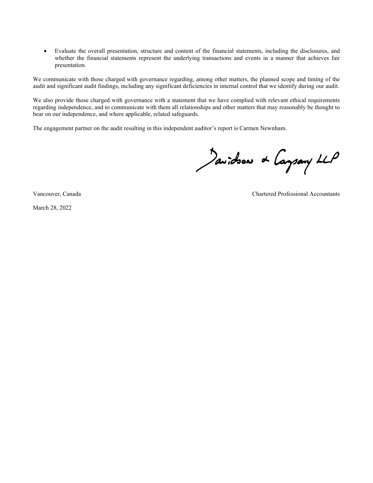• Evaluate the overall presentation, structure and content of the financial statements, including the disclosures, and whether the financial statements represent the underlying transactions and events in a manner that achieves fair presentation.

We communicate with those charged with governance regarding, among other matters, the planned scope and timing of the audit and significant audit findings, including any significant deficiencies in internal control that we identify during our audit.

We also provide those charged with governance with a statement that we have complied with relevant ethical requirements regarding independence, and to communicate with them all relationships and other matters that may reasonably be thought to bear on our independence, and where applicable, related safeguards.

The engagement partner on the audit resulting in this independent auditor's report is Carmen Newnham.

Javidson & Caysany LLP

Vancouver, Canada Chartered Professional Accountants

March 28, 2022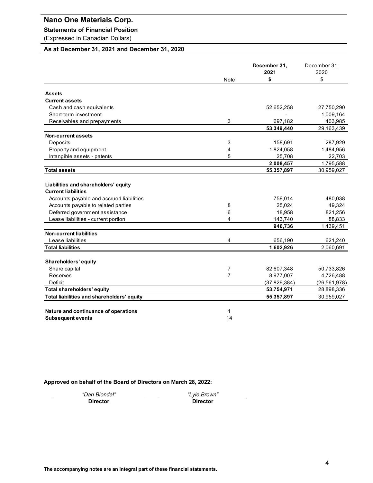#### **Statements of Financial Position**

(Expressed in Canadian Dollars)

#### **As at December 31, 2021 and December 31, 2020**

|                                            | Note           | December 31,<br>2021<br>\$ | December 31,<br>2020<br>\$ |
|--------------------------------------------|----------------|----------------------------|----------------------------|
|                                            |                |                            |                            |
| <b>Assets</b>                              |                |                            |                            |
| <b>Current assets</b>                      |                |                            |                            |
| Cash and cash equivalents                  |                | 52,652,258                 | 27,750,290                 |
| Short-term investment                      |                |                            | 1,009,164                  |
| Receivables and prepayments                | 3              | 697,182                    | 403,985                    |
|                                            |                | 53,349,440                 | 29,163,439                 |
| <b>Non-current assets</b>                  |                |                            |                            |
| Deposits                                   | 3              | 158,691                    | 287,929                    |
| Property and equipment                     | 4              | 1,824,058                  | 1,484,956                  |
| Intangible assets - patents                | 5              | 25,708                     | 22,703                     |
|                                            |                | 2,008,457                  | 1,795,588                  |
| <b>Total assets</b>                        |                | 55,357,897                 | 30,959,027                 |
| Liabilities and shareholders' equity       |                |                            |                            |
| <b>Current liabilities</b>                 |                |                            |                            |
| Accounts payable and accrued liabilities   |                | 759,014                    | 480,038                    |
| Accounts payable to related parties        | 8              | 25,024                     | 49,324                     |
| Deferred government assistance             | 6              | 18,958                     | 821,256                    |
| Lease liabilities - current portion        | 4              | 143,740                    | 88,833                     |
|                                            |                | 946,736                    | 1,439,451                  |
| <b>Non-current liabilities</b>             |                |                            |                            |
| Lease liabilities                          | 4              | 656,190                    | 621,240                    |
| <b>Total liabilities</b>                   |                | 1,602,926                  | 2,060,691                  |
| <b>Shareholders' equity</b>                |                |                            |                            |
| Share capital                              | $\overline{7}$ | 82,607,348                 | 50,733,826                 |
| <b>Reserves</b>                            | $\overline{7}$ | 8,977,007                  | 4,726,488                  |
| Deficit                                    |                | (37, 829, 384)             | (26, 561, 978)             |
| Total shareholders' equity                 |                | 53,754,971                 | 28,898,336                 |
| Total liabilities and shareholders' equity |                | 55,357,897                 | 30,959,027                 |
|                                            |                |                            |                            |
| Nature and continuance of operations       | 1              |                            |                            |
| <b>Subsequent events</b>                   | 14             |                            |                            |

**Approved on behalf of the Board of Directors on March 28, 2022:** 

*"Dan Blondal" "Lyle Brown"* **Director Director**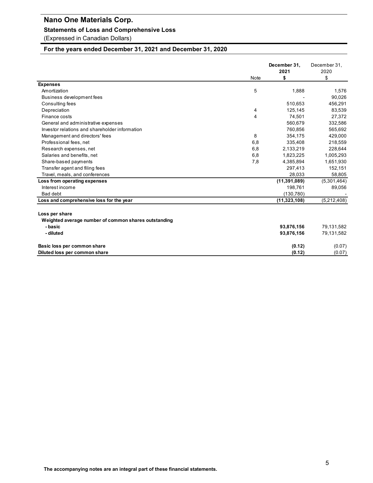#### **Statements of Loss and Comprehensive Loss**

(Expressed in Canadian Dollars)

#### **For the years ended December 31, 2021 and December 31, 2020**

|                                                      |                | December 31,<br>2021 | December 31,<br>2020 |
|------------------------------------------------------|----------------|----------------------|----------------------|
|                                                      | <b>Note</b>    | \$                   | \$                   |
| <b>Expenses</b>                                      |                |                      |                      |
| Amortization                                         | 5              | 1,888                | 1,576                |
| Business development fees                            |                |                      | 90,026               |
| Consulting fees                                      |                | 510,653              | 456,291              |
| Depreciation                                         | 4              | 125,145              | 83,539               |
| Finance costs                                        | $\overline{4}$ | 74,501               | 27,372               |
| General and administrative expenses                  |                | 560,679              | 332,586              |
| Investor relations and shareholder information       |                | 760.856              | 565,692              |
| Management and directors' fees                       | 8              | 354,175              | 429,000              |
| Professional fees, net                               | 6,8            | 335.408              | 218,559              |
| Research expenses, net                               | 6,8            | 2,133,219            | 228,644              |
| Salaries and benefits, net                           | 6,8            | 1,823,225            | 1,005,293            |
| Share-based payments                                 | 7,8            | 4,385,894            | 1,651,930            |
| Transfer agent and filing fees                       |                | 297,413              | 152,151              |
| Travel, meals, and conferences                       |                | 28.033               | 58,805               |
| Loss from operating expenses                         |                | (11, 391, 089)       | (5,301,464)          |
| Interest income                                      |                | 198,761              | 89,056               |
| Bad debt                                             |                | (130, 780)           |                      |
| Loss and comprehensive loss for the year             |                | (11, 323, 108)       | (5,212,408)          |
| Loss per share                                       |                |                      |                      |
| Weighted average number of common shares outstanding |                |                      |                      |
| - basic                                              |                | 93,876,156           | 79,131,582           |
| - diluted                                            |                | 93,876,156           | 79,131,582           |
| Basic loss per common share                          |                | (0.12)               | (0.07)               |
| Diluted loss per common share                        |                | (0.12)               | (0.07)               |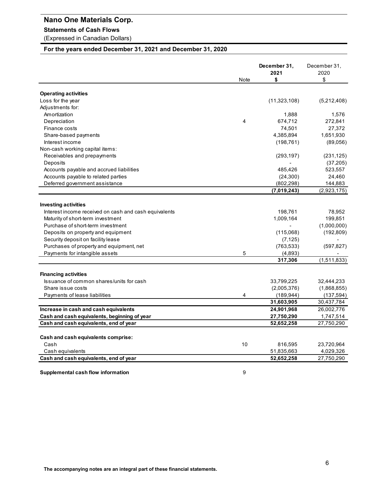#### **Statements of Cash Flows**

(Expressed in Canadian Dollars)

#### **For the years ended December 31, 2021 and December 31, 2020**

|                                                       | Note | December 31,<br>2021<br>\$ | December 31,<br>2020<br>\$ |
|-------------------------------------------------------|------|----------------------------|----------------------------|
|                                                       |      |                            |                            |
| <b>Operating activities</b>                           |      |                            |                            |
| Loss for the year                                     |      | (11,323,108)               | (5,212,408)                |
| Adjustments for:                                      |      |                            |                            |
| Amortization                                          |      | 1,888                      | 1,576                      |
| Depreciation                                          | 4    | 674,712                    | 272,841                    |
| Finance costs                                         |      | 74,501                     | 27,372                     |
| Share-based payments                                  |      | 4,385,894                  | 1,651,930                  |
| Interest income                                       |      | (198, 761)                 | (89,056)                   |
| Non-cash working capital items:                       |      |                            |                            |
| Receivables and prepayments                           |      | (293, 197)                 | (231, 125)                 |
| Deposits                                              |      |                            | (37, 205)                  |
| Accounts payable and accrued liabilities              |      | 485,426                    | 523,557                    |
| Accounts payable to related parties                   |      | (24, 300)                  | 24,460                     |
| Deferred government assistance                        |      | (802, 298)                 | 144,883                    |
|                                                       |      | (7,019,243)                | (2,923,175)                |
|                                                       |      |                            |                            |
| <b>Investing activities</b>                           |      |                            |                            |
| Interest income received on cash and cash equivalents |      | 198,761                    | 78,952                     |
| Maturity of short-term investment                     |      | 1,009,164                  | 199,851                    |
| Purchase of short-term investment                     |      |                            | (1,000,000)                |
| Deposits on property and equipment                    |      | (115,068)                  | (192, 809)                 |
| Security deposit on facility lease                    |      | (7, 125)                   |                            |
| Purchases of property and equipment, net              |      | (763, 533)                 | (597, 827)                 |
| Payments for intangible assets                        | 5    | (4,893)                    |                            |
|                                                       |      | 317,306                    | (1,511,833)                |
| <b>Financing activities</b>                           |      |                            |                            |
| Issuance of common shares/units for cash              |      | 33,799,225                 | 32,444,233                 |
| Share issue costs                                     |      | (2,005,376)                | (1,868,855)                |
| Payments of lease liabilities                         | 4    | (189, 944)                 | (137, 594)                 |
|                                                       |      | 31,603,905                 | 30,437,784                 |
| Increase in cash and cash equivalents                 |      | 24,901,968                 | 26,002,776                 |
| Cash and cash equivalents, beginning of year          |      | 27,750,290                 | 1,747,514                  |
| Cash and cash equivalents, end of year                |      | 52,652,258                 | 27,750,290                 |
|                                                       |      |                            |                            |
| Cash and cash equivalents comprise:                   |      |                            |                            |
| Cash                                                  | 10   | 816,595                    | 23,720,964                 |
| Cash equivalents                                      |      | 51,835,663                 | 4,029,326                  |
| Cash and cash equivalents, end of year                |      | 52,652,258                 | 27.750.290                 |
| Supplemental cash flow information                    | 9    |                            |                            |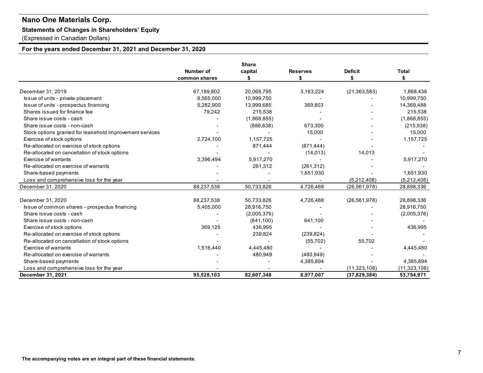#### **Statements of Changes in Shareholders' Equity**

(Expressed in Canadian Dollars)

#### **For the years ended December 31, 2021 and December 31, 2020**

|                                                          |               | <b>Share</b> |                 |                |                |
|----------------------------------------------------------|---------------|--------------|-----------------|----------------|----------------|
|                                                          | Number of     | capital      | <b>Reserves</b> | <b>Deficit</b> | <b>Total</b>   |
|                                                          | common shares |              | \$              | \$             | \$             |
| December 31, 2019                                        | 67,189,802    | 20,068,795   | 3,163,224       | (21, 363, 583) | 1,868,436      |
| Issue of units - private placement                       | 9,565,000     | 10,999,750   |                 |                | 10,999,750     |
| Issue of units - prospectus financing                    | 5,282,900     | 13,999,685   | 369,803         |                | 14,369,488     |
| Shares issued for finance fee                            | 79,242        | 215,538      |                 |                | 215,538        |
| Share issue costs - cash                                 |               | (1,868,855)  |                 |                | (1,868,855)    |
| Share issue costs - non-cash                             |               | (888, 838)   | 673,300         |                | (215, 538)     |
| Stock options granted for leasehold improvement services |               |              | 15,000          |                | 15,000         |
| Exercise of stock options                                | 2,724,100     | 1,157,725    |                 |                | 1,157,725      |
| Re-allocated on exercise of stock options                |               | 871,444      | (871, 444)      |                |                |
| Re-allocated on cancellation of stock options            |               |              | (14, 013)       | 14,013         |                |
| Exercise of warrants                                     | 3,396,494     | 5,917,270    |                 |                | 5,917,270      |
| Re-allocated on exercise of warrants                     |               | 261,312      | (261, 312)      |                |                |
| Share-based payments                                     |               |              | 1,651,930       |                | 1,651,930      |
| Loss and comprehensive loss for the year                 |               |              |                 | (5,212,408)    | (5,212,408)    |
| December 31, 2020                                        | 88,237,538    | 50,733,826   | 4,726,488       | (26, 561, 978) | 28,898,336     |
| December 31, 2020                                        | 88,237,538    | 50,733,826   | 4,726,488       | (26, 561, 978) | 28,898,336     |
| Issue of common shares - prospectus financing            | 5,405,000     | 28,916,750   |                 |                | 28,916,750     |
| Share issue costs - cash                                 |               | (2,005,376)  |                 |                | (2,005,376)    |
| Share issue costs - non-cash                             |               | (641, 100)   | 641,100         |                |                |
| Exercise of stock options                                | 369,125       | 436,995      |                 |                | 436,995        |
| Re-allocated on exercise of stock options                |               | 239,824      | (239, 824)      |                |                |
| Re-allocated on cancellation of stock options            |               |              | (55, 702)       | 55,702         |                |
| Exercise of warrants                                     | 1,516,440     | 4,445,480    |                 |                | 4,445,480      |
| Re-allocated on exercise of warrants                     |               | 480,949      | (480, 949)      |                |                |
| Share-based payments                                     |               |              | 4,385,894       |                | 4,385,894      |
| Loss and comprehensive loss for the year                 |               |              |                 | (11, 323, 108) | (11, 323, 108) |
| December 31, 2021                                        | 95,528,103    | 82,607,348   | 8,977,007       | (37, 829, 384) | 53,754,971     |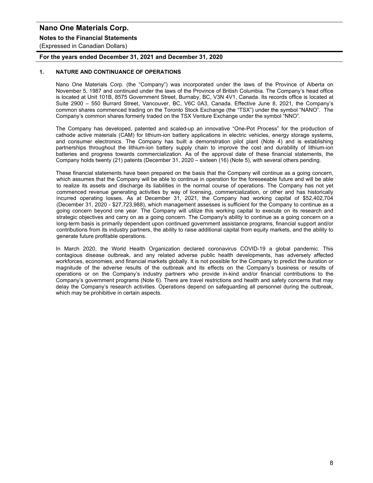#### **Notes to the Financial Statements**

(Expressed in Canadian Dollars)

#### **For the years ended December 31, 2021 and December 31, 2020**

#### **1. NATURE AND CONTINUANCE OF OPERATIONS**

Nano One Materials Corp. (the "Company") was incorporated under the laws of the Province of Alberta on November 5, 1987 and continued under the laws of the Province of British Columbia. The Company's head office is located at Unit 101B, 8575 Government Street, Burnaby, BC, V3N 4V1, Canada. Its records office is located at Suite 2900 – 550 Burrard Street, Vancouver, BC, V6C 0A3, Canada. Effective June 8, 2021, the Company's common shares commenced trading on the Toronto Stock Exchange (the "TSX") under the symbol "NANO". The Company's common shares formerly traded on the TSX Venture Exchange under the symbol "NNO".

The Company has developed, patented and scaled-up an innovative "One-Pot Process" for the production of cathode active materials (CAM) for lithium-ion battery applications in electric vehicles, energy storage systems, and consumer electronics. The Company has built a demonstration pilot plant (Note 4) and is establishing partnerships throughout the lithium-ion battery supply chain to improve the cost and durability of lithium-ion batteries and progress towards commercialization. As of the approval date of these financial statements, the Company holds twenty (21) patents (December 31, 2020 – sixteen (16) (Note 5), with several others pending.

These financial statements have been prepared on the basis that the Company will continue as a going concern, which assumes that the Company will be able to continue in operation for the foreseeable future and will be able to realize its assets and discharge its liabilities in the normal course of operations. The Company has not yet commenced revenue generating activities by way of licensing, commercialization, or other and has historically incurred operating losses. As at December 31, 2021, the Company had working capital of \$52,402,704 (December 31, 2020 - \$27,723,988), which management assesses is sufficient for the Company to continue as a going concern beyond one year. The Company will utilize this working capital to execute on its research and strategic objectives and carry on as a going concern. The Company's ability to continue as a going concern on a long-term basis is primarily dependent upon continued government assistance programs, financial support and/or contributions from its industry partners, the ability to raise additional capital from equity markets, and the ability to generate future profitable operations.

In March 2020, the World Health Organization declared coronavirus COVID-19 a global pandemic. This contagious disease outbreak, and any related adverse public health developments, has adversely affected workforces, economies, and financial markets globally. It is not possible for the Company to predict the duration or magnitude of the adverse results of the outbreak and its effects on the Company's business or results of operations or on the Company's industry partners who provide in-kind and/or financial contributions to the Company's government programs (Note 6). There are travel restrictions and health and safety concerns that may delay the Company's research activities. Operations depend on safeguarding all personnel during the outbreak, which may be prohibitive in certain aspects.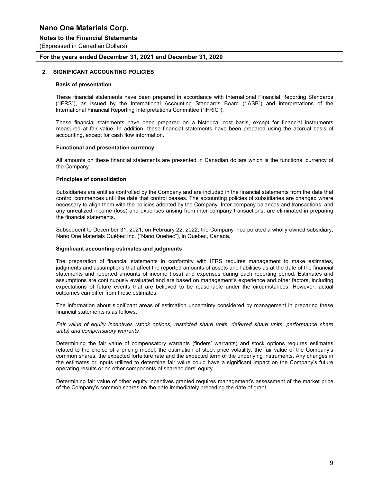#### **Notes to the Financial Statements**

(Expressed in Canadian Dollars)

#### **For the years ended December 31, 2021 and December 31, 2020**

#### **2. SIGNIFICANT ACCOUNTING POLICIES**

#### **Basis of presentation**

These financial statements have been prepared in accordance with International Financial Reporting Standards ("IFRS"), as issued by the International Accounting Standards Board ("IASB") and interpretations of the International Financial Reporting Interpretations Committee ("IFRIC").

These financial statements have been prepared on a historical cost basis, except for financial instruments measured at fair value. In addition, these financial statements have been prepared using the accrual basis of accounting, except for cash flow information.

#### **Functional and presentation currency**

All amounts on these financial statements are presented in Canadian dollars which is the functional currency of the Company.

#### **Principles of consolidation**

Subsidiaries are entities controlled by the Company and are included in the financial statements from the date that control commences until the date that control ceases. The accounting policies of subsidiaries are changed where necessary to align them with the policies adopted by the Company. Inter-company balances and transactions, and any unrealized income (loss) and expenses arising from inter-company transactions, are eliminated in preparing the financial statements.

Subsequent to December 31, 2021, on February 22, 2022, the Company incorporated a wholly-owned subsidiary, Nano One Materials Québec Inc. ("Nano Quebec"), in Quebec, Canada.

#### **Significant accounting estimates and judgments**

The preparation of financial statements in conformity with IFRS requires management to make estimates, judgments and assumptions that affect the reported amounts of assets and liabilities as at the date of the financial statements and reported amounts of income (loss) and expenses during each reporting period. Estimates and assumptions are continuously evaluated and are based on management's experience and other factors, including expectations of future events that are believed to be reasonable under the circumstances. However, actual outcomes can differ from these estimates.

The information about significant areas of estimation uncertainty considered by management in preparing these financial statements is as follows:

*Fair value of equity incentives (stock options, restricted share units, deferred share units, performance share units) and compensatory warrants*

Determining the fair value of compensatory warrants (finders' warrants) and stock options requires estimates related to the choice of a pricing model, the estimation of stock price volatility, the fair value of the Company's common shares, the expected forfeiture rate and the expected term of the underlying instruments. Any changes in the estimates or inputs utilized to determine fair value could have a significant impact on the Company's future operating results or on other components of shareholders' equity.

Determining fair value of other equity incentives granted requires management's assessment of the market price of the Company's common shares on the date immediately preceding the date of grant.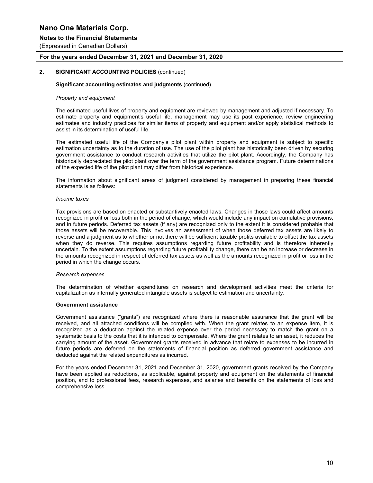#### **Notes to the Financial Statements**

(Expressed in Canadian Dollars)

#### **For the years ended December 31, 2021 and December 31, 2020**

#### **2. SIGNIFICANT ACCOUNTING POLICIES** (continued)

#### **Significant accounting estimates and judgments** (continued)

#### *Property and equipment*

The estimated useful lives of property and equipment are reviewed by management and adjusted if necessary. To estimate property and equipment's useful life, management may use its past experience, review engineering estimates and industry practices for similar items of property and equipment and/or apply statistical methods to assist in its determination of useful life.

The estimated useful life of the Company's pilot plant within property and equipment is subject to specific estimation uncertainty as to the duration of use. The use of the pilot plant has historically been driven by securing government assistance to conduct research activities that utilize the pilot plant. Accordingly, the Company has historically depreciated the pilot plant over the term of the government assistance program. Future determinations of the expected life of the pilot plant may differ from historical experience.

The information about significant areas of judgment considered by management in preparing these financial statements is as follows:

#### *Income taxes*

Tax provisions are based on enacted or substantively enacted laws. Changes in those laws could affect amounts recognized in profit or loss both in the period of change, which would include any impact on cumulative provisions, and in future periods. Deferred tax assets (if any) are recognized only to the extent it is considered probable that those assets will be recoverable. This involves an assessment of when those deferred tax assets are likely to reverse and a judgment as to whether or not there will be sufficient taxable profits available to offset the tax assets when they do reverse. This requires assumptions regarding future profitability and is therefore inherently uncertain. To the extent assumptions regarding future profitability change, there can be an increase or decrease in the amounts recognized in respect of deferred tax assets as well as the amounts recognized in profit or loss in the period in which the change occurs.

#### *Research expenses*

The determination of whether expenditures on research and development activities meet the criteria for capitalization as internally generated intangible assets is subject to estimation and uncertainty.

#### **Government assistance**

Government assistance ("grants") are recognized where there is reasonable assurance that the grant will be received, and all attached conditions will be complied with. When the grant relates to an expense item, it is recognized as a deduction against the related expense over the period necessary to match the grant on a systematic basis to the costs that it is intended to compensate. Where the grant relates to an asset, it reduces the carrying amount of the asset. Government grants received in advance that relate to expenses to be incurred in future periods are deferred on the statements of financial position as deferred government assistance and deducted against the related expenditures as incurred.

For the years ended December 31, 2021 and December 31, 2020, government grants received by the Company have been applied as reductions, as applicable, against property and equipment on the statements of financial position, and to professional fees, research expenses, and salaries and benefits on the statements of loss and comprehensive loss.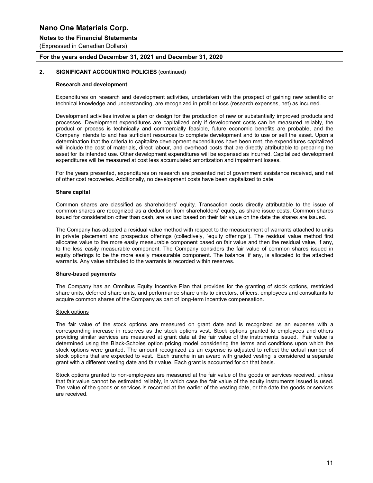#### **Notes to the Financial Statements**

(Expressed in Canadian Dollars)

#### **For the years ended December 31, 2021 and December 31, 2020**

#### **2. SIGNIFICANT ACCOUNTING POLICIES** (continued)

#### **Research and development**

Expenditures on research and development activities, undertaken with the prospect of gaining new scientific or technical knowledge and understanding, are recognized in profit or loss (research expenses, net) as incurred.

Development activities involve a plan or design for the production of new or substantially improved products and processes. Development expenditures are capitalized only if development costs can be measured reliably, the product or process is technically and commercially feasible, future economic benefits are probable, and the Company intends to and has sufficient resources to complete development and to use or sell the asset. Upon a determination that the criteria to capitalize development expenditures have been met, the expenditures capitalized will include the cost of materials, direct labour, and overhead costs that are directly attributable to preparing the asset for its intended use. Other development expenditures will be expensed as incurred. Capitalized development expenditures will be measured at cost less accumulated amortization and impairment losses.

For the years presented, expenditures on research are presented net of government assistance received, and net of other cost recoveries. Additionally, no development costs have been capitalized to date.

#### **Share capital**

Common shares are classified as shareholders' equity. Transaction costs directly attributable to the issue of common shares are recognized as a deduction from shareholders' equity, as share issue costs. Common shares issued for consideration other than cash, are valued based on their fair value on the date the shares are issued.

The Company has adopted a residual value method with respect to the measurement of warrants attached to units in private placement and prospectus offerings (collectively, "equity offerings"). The residual value method first allocates value to the more easily measurable component based on fair value and then the residual value, if any, to the less easily measurable component. The Company considers the fair value of common shares issued in equity offerings to be the more easily measurable component. The balance, if any, is allocated to the attached warrants. Any value attributed to the warrants is recorded within reserves.

#### **Share-based payments**

The Company has an Omnibus Equity Incentive Plan that provides for the granting of stock options, restricted share units, deferred share units, and performance share units to directors, officers, employees and consultants to acquire common shares of the Company as part of long-term incentive compensation.

#### Stock options

The fair value of the stock options are measured on grant date and is recognized as an expense with a corresponding increase in reserves as the stock options vest. Stock options granted to employees and others providing similar services are measured at grant date at the fair value of the instruments issued. Fair value is determined using the Black-Scholes option pricing model considering the terms and conditions upon which the stock options were granted. The amount recognized as an expense is adjusted to reflect the actual number of stock options that are expected to vest. Each tranche in an award with graded vesting is considered a separate grant with a different vesting date and fair value. Each grant is accounted for on that basis.

Stock options granted to non-employees are measured at the fair value of the goods or services received, unless that fair value cannot be estimated reliably, in which case the fair value of the equity instruments issued is used. The value of the goods or services is recorded at the earlier of the vesting date, or the date the goods or services are received.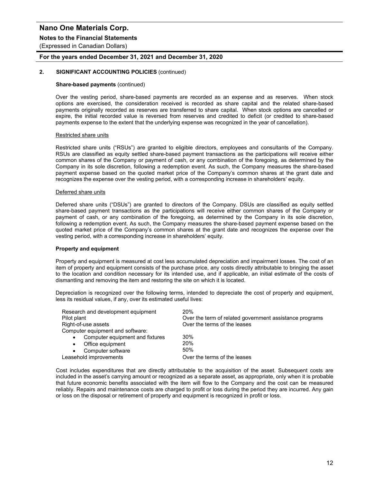#### **Notes to the Financial Statements**

(Expressed in Canadian Dollars)

#### **For the years ended December 31, 2021 and December 31, 2020**

#### **2. SIGNIFICANT ACCOUNTING POLICIES** (continued)

#### **Share-based payments** (continued)

Over the vesting period, share-based payments are recorded as an expense and as reserves. When stock options are exercised, the consideration received is recorded as share capital and the related share-based payments originally recorded as reserves are transferred to share capital. When stock options are cancelled or expire, the initial recorded value is reversed from reserves and credited to deficit (or credited to share-based payments expense to the extent that the underlying expense was recognized in the year of cancellation).

#### Restricted share units

Restricted share units ("RSUs") are granted to eligible directors, employees and consultants of the Company. RSUs are classified as equity settled share-based payment transactions as the participations will receive either common shares of the Company or payment of cash, or any combination of the foregoing, as determined by the Company in its sole discretion, following a redemption event. As such, the Company measures the share-based payment expense based on the quoted market price of the Company's common shares at the grant date and recognizes the expense over the vesting period, with a corresponding increase in shareholders' equity.

#### Deferred share units

Deferred share units ("DSUs") are granted to directors of the Company. DSUs are classified as equity settled share-based payment transactions as the participations will receive either common shares of the Company or payment of cash, or any combination of the foregoing, as determined by the Company in its sole discretion, following a redemption event. As such, the Company measures the share-based payment expense based on the quoted market price of the Company's common shares at the grant date and recognizes the expense over the vesting period, with a corresponding increase in shareholders' equity.

#### **Property and equipment**

Property and equipment is measured at cost less accumulated depreciation and impairment losses. The cost of an item of property and equipment consists of the purchase price, any costs directly attributable to bringing the asset to the location and condition necessary for its intended use, and if applicable, an initial estimate of the costs of dismantling and removing the item and restoring the site on which it is located.

Depreciation is recognized over the following terms, intended to depreciate the cost of property and equipment, less its residual values, if any, over its estimated useful lives:

| Research and development equipment           | 20%                                                     |
|----------------------------------------------|---------------------------------------------------------|
| Pilot plant                                  | Over the term of related government assistance programs |
| Right-of-use assets                          | Over the terms of the leases                            |
| Computer equipment and software:             |                                                         |
| Computer equipment and fixtures<br>$\bullet$ | 30%                                                     |
| Office equipment<br>$\bullet$                | 20%                                                     |
| Computer software<br>$\bullet$               | 50%                                                     |
| Leasehold improvements                       | Over the terms of the leases                            |

Cost includes expenditures that are directly attributable to the acquisition of the asset. Subsequent costs are included in the asset's carrying amount or recognized as a separate asset, as appropriate, only when it is probable that future economic benefits associated with the item will flow to the Company and the cost can be measured reliably. Repairs and maintenance costs are charged to profit or loss during the period they are incurred. Any gain or loss on the disposal or retirement of property and equipment is recognized in profit or loss.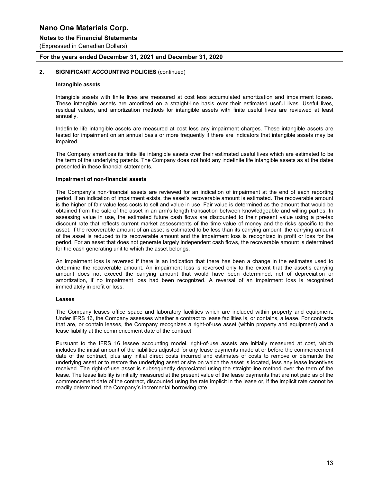#### **Notes to the Financial Statements**

(Expressed in Canadian Dollars)

#### **For the years ended December 31, 2021 and December 31, 2020**

#### **2. SIGNIFICANT ACCOUNTING POLICIES** (continued)

#### **Intangible assets**

Intangible assets with finite lives are measured at cost less accumulated amortization and impairment losses. These intangible assets are amortized on a straight-line basis over their estimated useful lives. Useful lives, residual values, and amortization methods for intangible assets with finite useful lives are reviewed at least annually.

Indefinite life intangible assets are measured at cost less any impairment charges. These intangible assets are tested for impairment on an annual basis or more frequently if there are indicators that intangible assets may be impaired.

The Company amortizes its finite life intangible assets over their estimated useful lives which are estimated to be the term of the underlying patents. The Company does not hold any indefinite life intangible assets as at the dates presented in these financial statements.

#### **Impairment of non-financial assets**

The Company's non-financial assets are reviewed for an indication of impairment at the end of each reporting period. If an indication of impairment exists, the asset's recoverable amount is estimated. The recoverable amount is the higher of fair value less costs to sell and value in use. Fair value is determined as the amount that would be obtained from the sale of the asset in an arm's length transaction between knowledgeable and willing parties. In assessing value in use, the estimated future cash flows are discounted to their present value using a pre-tax discount rate that reflects current market assessments of the time value of money and the risks specific to the asset. If the recoverable amount of an asset is estimated to be less than its carrying amount, the carrying amount of the asset is reduced to its recoverable amount and the impairment loss is recognized in profit or loss for the period. For an asset that does not generate largely independent cash flows, the recoverable amount is determined for the cash generating unit to which the asset belongs.

An impairment loss is reversed if there is an indication that there has been a change in the estimates used to determine the recoverable amount. An impairment loss is reversed only to the extent that the asset's carrying amount does not exceed the carrying amount that would have been determined, net of depreciation or amortization, if no impairment loss had been recognized. A reversal of an impairment loss is recognized immediately in profit or loss.

#### **Leases**

The Company leases office space and laboratory facilities which are included within property and equipment. Under IFRS 16, the Company assesses whether a contract to lease facilities is, or contains, a lease. For contracts that are, or contain leases, the Company recognizes a right-of-use asset (within property and equipment) and a lease liability at the commencement date of the contract.

Pursuant to the IFRS 16 lessee accounting model, right-of-use assets are initially measured at cost, which includes the initial amount of the liabilities adjusted for any lease payments made at or before the commencement date of the contract, plus any initial direct costs incurred and estimates of costs to remove or dismantle the underlying asset or to restore the underlying asset or site on which the asset is located, less any lease incentives received. The right-of-use asset is subsequently depreciated using the straight-line method over the term of the lease. The lease liability is initially measured at the present value of the lease payments that are not paid as of the commencement date of the contract, discounted using the rate implicit in the lease or, if the implicit rate cannot be readily determined, the Company's incremental borrowing rate.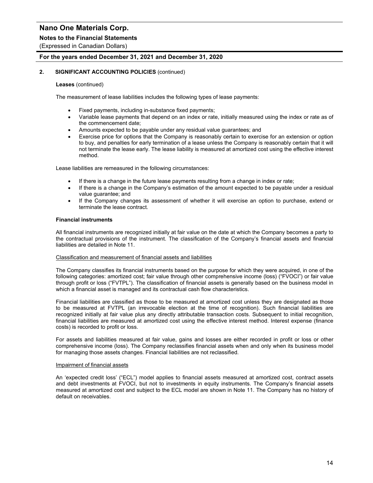#### **Notes to the Financial Statements**

(Expressed in Canadian Dollars)

#### **For the years ended December 31, 2021 and December 31, 2020**

#### **2. SIGNIFICANT ACCOUNTING POLICIES** (continued)

#### **Leases** (continued)

The measurement of lease liabilities includes the following types of lease payments:

- Fixed payments, including in-substance fixed payments;
- Variable lease payments that depend on an index or rate, initially measured using the index or rate as of the commencement date;
- Amounts expected to be payable under any residual value guarantees; and
- Exercise price for options that the Company is reasonably certain to exercise for an extension or option to buy, and penalties for early termination of a lease unless the Company is reasonably certain that it will not terminate the lease early. The lease liability is measured at amortized cost using the effective interest method.

Lease liabilities are remeasured in the following circumstances:

- If there is a change in the future lease payments resulting from a change in index or rate;
- If there is a change in the Company's estimation of the amount expected to be payable under a residual value guarantee; and
- If the Company changes its assessment of whether it will exercise an option to purchase, extend or terminate the lease contract.

#### **Financial instruments**

All financial instruments are recognized initially at fair value on the date at which the Company becomes a party to the contractual provisions of the instrument. The classification of the Company's financial assets and financial liabilities are detailed in Note 11.

#### Classification and measurement of financial assets and liabilities

The Company classifies its financial instruments based on the purpose for which they were acquired, in one of the following categories: amortized cost; fair value through other comprehensive income (loss) ("FVOCI") or fair value through profit or loss ("FVTPL"). The classification of financial assets is generally based on the business model in which a financial asset is managed and its contractual cash flow characteristics.

Financial liabilities are classified as those to be measured at amortized cost unless they are designated as those to be measured at FVTPL (an irrevocable election at the time of recognition). Such financial liabilities are recognized initially at fair value plus any directly attributable transaction costs. Subsequent to initial recognition, financial liabilities are measured at amortized cost using the effective interest method. Interest expense (finance costs) is recorded to profit or loss.

For assets and liabilities measured at fair value, gains and losses are either recorded in profit or loss or other comprehensive income (loss). The Company reclassifies financial assets when and only when its business model for managing those assets changes. Financial liabilities are not reclassified.

#### Impairment of financial assets

An 'expected credit loss' ("ECL") model applies to financial assets measured at amortized cost, contract assets and debt investments at FVOCI, but not to investments in equity instruments. The Company's financial assets measured at amortized cost and subject to the ECL model are shown in Note 11. The Company has no history of default on receivables.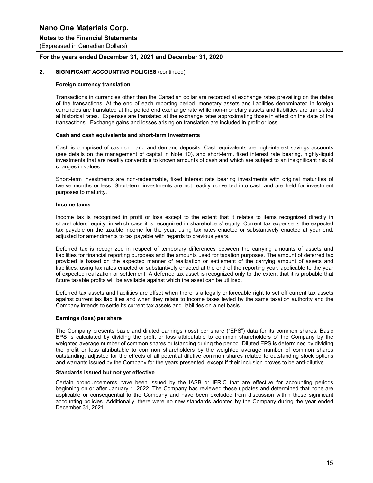#### **Notes to the Financial Statements**

(Expressed in Canadian Dollars)

#### **For the years ended December 31, 2021 and December 31, 2020**

#### **2. SIGNIFICANT ACCOUNTING POLICIES** (continued)

#### **Foreign currency translation**

Transactions in currencies other than the Canadian dollar are recorded at exchange rates prevailing on the dates of the transactions. At the end of each reporting period, monetary assets and liabilities denominated in foreign currencies are translated at the period end exchange rate while non-monetary assets and liabilities are translated at historical rates. Expenses are translated at the exchange rates approximating those in effect on the date of the transactions. Exchange gains and losses arising on translation are included in profit or loss.

#### **Cash and cash equivalents and short-term investments**

Cash is comprised of cash on hand and demand deposits. Cash equivalents are high-interest savings accounts (see details on the management of capital in Note 10), and short-term, fixed interest rate bearing, highly-liquid investments that are readily convertible to known amounts of cash and which are subject to an insignificant risk of changes in values.

Short-term investments are non-redeemable, fixed interest rate bearing investments with original maturities of twelve months or less. Short-term investments are not readily converted into cash and are held for investment purposes to maturity.

#### **Income taxes**

Income tax is recognized in profit or loss except to the extent that it relates to items recognized directly in shareholders' equity, in which case it is recognized in shareholders' equity. Current tax expense is the expected tax payable on the taxable income for the year, using tax rates enacted or substantively enacted at year end, adjusted for amendments to tax payable with regards to previous years.

Deferred tax is recognized in respect of temporary differences between the carrying amounts of assets and liabilities for financial reporting purposes and the amounts used for taxation purposes. The amount of deferred tax provided is based on the expected manner of realization or settlement of the carrying amount of assets and liabilities, using tax rates enacted or substantively enacted at the end of the reporting year, applicable to the year of expected realization or settlement. A deferred tax asset is recognized only to the extent that it is probable that future taxable profits will be available against which the asset can be utilized.

Deferred tax assets and liabilities are offset when there is a legally enforceable right to set off current tax assets against current tax liabilities and when they relate to income taxes levied by the same taxation authority and the Company intends to settle its current tax assets and liabilities on a net basis.

#### **Earnings (loss) per share**

The Company presents basic and diluted earnings (loss) per share ("EPS") data for its common shares. Basic EPS is calculated by dividing the profit or loss attributable to common shareholders of the Company by the weighted average number of common shares outstanding during the period. Diluted EPS is determined by dividing the profit or loss attributable to common shareholders by the weighted average number of common shares outstanding, adjusted for the effects of all potential dilutive common shares related to outstanding stock options and warrants issued by the Company for the years presented, except if their inclusion proves to be anti-dilutive.

#### **Standards issued but not yet effective**

Certain pronouncements have been issued by the IASB or IFRIC that are effective for accounting periods beginning on or after January 1, 2022. The Company has reviewed these updates and determined that none are applicable or consequential to the Company and have been excluded from discussion within these significant accounting policies. Additionally, there were no new standards adopted by the Company during the year ended December 31, 2021.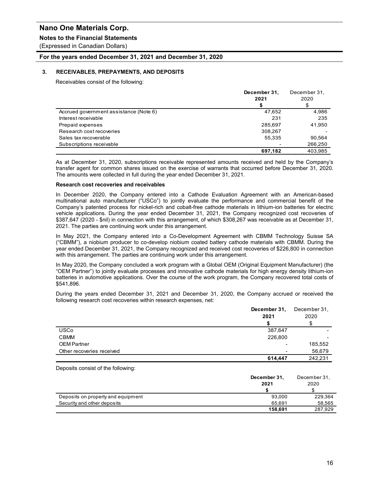#### **Notes to the Financial Statements**

(Expressed in Canadian Dollars)

#### **For the years ended December 31, 2021 and December 31, 2020**

#### **3. RECEIVABLES, PREPAYMENTS, AND DEPOSITS**

Receivables consist of the following:

|                                        | December 31, | December 31, |
|----------------------------------------|--------------|--------------|
|                                        | 2021         | 2020         |
|                                        |              | \$           |
| Accrued government assistance (Note 6) | 47.652       | 4,986        |
| Interest receivable                    | 231          | 235          |
| Prepaid expenses                       | 285,697      | 41,950       |
| Research cost recoveries               | 308,267      |              |
| Sales tax recoverable                  | 55,335       | 90.564       |
| Subscriptions receivable               |              | 266,250      |
|                                        | 697,182      | 403.985      |

As at December 31, 2020, subscriptions receivable represented amounts received and held by the Company's transfer agent for common shares issued on the exercise of warrants that occurred before December 31, 2020. The amounts were collected in full during the year ended December 31, 2021.

#### **Research cost recoveries and receivables**

In December 2020, the Company entered into a Cathode Evaluation Agreement with an American-based multinational auto manufacturer ("USCo") to jointly evaluate the performance and commercial benefit of the Company's patented process for nickel-rich and cobalt-free cathode materials in lithium-ion batteries for electric vehicle applications. During the year ended December 31, 2021, the Company recognized cost recoveries of \$387,647 (2020 - \$nil) in connection with this arrangement, of which \$308,267 was receivable as at December 31, 2021. The parties are continuing work under this arrangement.

In May 2021, the Company entered into a Co-Development Agreement with CBMM Technology Suisse SA ("CBMM"), a niobium producer to co-develop niobium coated battery cathode materials with CBMM. During the year ended December 31, 2021, the Company recognized and received cost recoveries of \$226,800 in connection with this arrangement. The parties are continuing work under this arrangement.

In May 2020, the Company concluded a work program with a Global OEM (Original Equipment Manufacturer) (the "OEM Partner") to jointly evaluate processes and innovative cathode materials for high energy density lithium-ion batteries in automotive applications. Over the course of the work program, the Company recovered total costs of \$541,896.

During the years ended December 31, 2021 and December 31, 2020, the Company accrued or received the following research cost recoveries within research expenses, net:

|                           | December 31,<br>2021     | December 31,<br>2020     |
|---------------------------|--------------------------|--------------------------|
|                           |                          | Œ                        |
| <b>USCo</b>               | 387,647                  | $\overline{\phantom{0}}$ |
| <b>CBMM</b>               | 226,800                  | -                        |
| <b>OEM Partner</b>        | $\overline{\phantom{a}}$ | 185,552                  |
| Other recoveries received | $\overline{\phantom{a}}$ | 56,679                   |
|                           | 614.447                  | 242,231                  |

Deposits consist of the following:

|                                    | December 31, | December 31, |
|------------------------------------|--------------|--------------|
|                                    | 2021         | 2020         |
|                                    |              |              |
| Deposits on property and equipment | 93.000       | 229.364      |
| Security and other deposits        | 65.691       | 58,565       |
|                                    | 158,691      | 287,929      |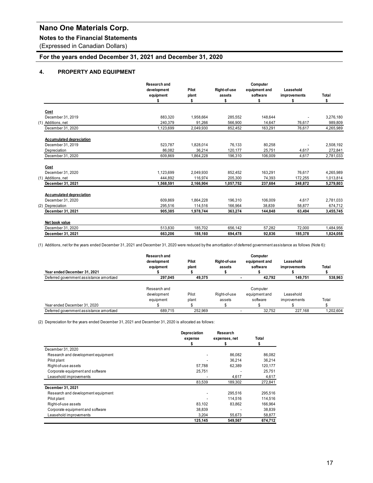#### **Notes to the Financial Statements**

(Expressed in Canadian Dollars)

#### **For the years ended December 31, 2021 and December 31, 2020**

#### **4. PROPERTY AND EQUIPMENT**

|     |                                 | Research and<br>development<br>equipment<br>S | Pilot<br>plant<br>\$ | Right-of-use<br>assets<br>\$ | Computer<br>equipment and<br>software<br>\$ | Leasehold<br>improvements<br>\$ | Total<br>\$ |
|-----|---------------------------------|-----------------------------------------------|----------------------|------------------------------|---------------------------------------------|---------------------------------|-------------|
|     |                                 |                                               |                      |                              |                                             |                                 |             |
|     | Cost<br>December 31, 2019       | 883,320                                       | 1,958,664            | 285,552                      | 148,644                                     |                                 | 3,276,180   |
| (1) | Additions, net                  | 240.379                                       | 91,266               | 566.900                      | 14,647                                      | 76,617                          | 989,809     |
|     | December 31, 2020               | 1,123,699                                     | 2,049,930            | 852,452                      | 163.291                                     | 76.617                          | 4,265,989   |
|     |                                 |                                               |                      |                              |                                             |                                 |             |
|     | <b>Accumulated depreciation</b> |                                               |                      |                              |                                             |                                 |             |
|     | December 31, 2019               | 523,787                                       | 1,828,014            | 76.133                       | 80,258                                      |                                 | 2,508,192   |
|     | Depreciation                    | 86.082                                        | 36.214               | 120.177                      | 25,751                                      | 4,617                           | 272,841     |
|     | December 31, 2020               | 609.869                                       | 1,864,228            | 196.310                      | 106,009                                     | 4.617                           | 2,781,033   |
|     | Cost                            |                                               |                      |                              |                                             |                                 |             |
|     | December 31, 2020               | 1,123,699                                     | 2,049,930            | 852.452                      | 163,291                                     | 76,617                          | 4,265,989   |
| (1) | Additions, net                  | 444.892                                       | 116.974              | 205.300                      | 74,393                                      | 172.255                         | 1,013,814   |
|     | December 31, 2021               | 1,568,591                                     | 2,166,904            | 1,057,752                    | 237,684                                     | 248,872                         | 5,279,803   |
|     |                                 |                                               |                      |                              |                                             |                                 |             |
|     | <b>Accumulated depreciation</b> |                                               |                      |                              |                                             |                                 |             |
|     | December 31, 2020               | 609.869                                       | 1.864.228            | 196,310                      | 106,009                                     | 4.617                           | 2,781,033   |
| (2) | Depreciation                    | 295,516                                       | 114,516              | 166,964                      | 38.839                                      | 58,877                          | 674,712     |
|     | December 31, 2021               | 905,385                                       | 1,978,744            | 363,274                      | 144.848                                     | 63.494                          | 3,455,745   |
|     | Net book value                  |                                               |                      |                              |                                             |                                 |             |
|     | December 31, 2020               | 513,830                                       | 185,702              | 656,142                      | 57,282                                      | 72,000                          | 1,484,956   |
|     | December 31, 2021               | 663.206                                       | 188,160              | 694.478                      | 92,836                                      | 185.378                         | 1,824,058   |

(1) Additions, net for the years ended December 31, 2021 and December 31, 2020 were reduced by the amortization of deferred government assistance as follows (Note 6):

| Year ended December 31, 2021             | Research and<br>development<br>equipment | Pilot<br>plant | Right-of-use<br>assets | Computer<br>equipment and<br>software | Leasehold<br>improvements | Total     |
|------------------------------------------|------------------------------------------|----------------|------------------------|---------------------------------------|---------------------------|-----------|
| Deferred government assistance amortized | 297,045                                  | 49,375         |                        | 42.792                                | 149,751                   | 538,963   |
|                                          | Research and                             |                |                        | Computer                              |                           |           |
|                                          | development                              | Pilot          | Right-of-use           | equipment and                         | Leasehold                 |           |
|                                          | equipment                                | plant          | assets                 | software                              | improvements              | Total     |
| Year ended December 31, 2020             |                                          |                |                        |                                       |                           |           |
| Deferred government assistance amortized | 689.715                                  | 252.969        |                        | 32.752                                | 227.168                   | 1.202.604 |

(2) Depreciation for the years ended December 31, 2021 and December 31, 2020 is allocated as follows:

|                                    | Depreciation | Research      |         |  |
|------------------------------------|--------------|---------------|---------|--|
|                                    | expense      | expenses, net | Total   |  |
|                                    |              |               |         |  |
| December 31, 2020                  |              |               |         |  |
| Research and development equipment |              | 86,082        | 86,082  |  |
| Pilot plant                        |              | 36,214        | 36,214  |  |
| Right-of-use assets                | 57,788       | 62,389        | 120,177 |  |
| Corporate equipment and software   | 25,751       |               | 25,751  |  |
| Leasehold improvements             |              | 4,617         | 4,617   |  |
|                                    | 83,539       | 189,302       | 272,841 |  |
| December 31, 2021                  |              |               |         |  |
| Research and development equipment |              | 295,516       | 295,516 |  |
| Pilot plant                        |              | 114.516       | 114,516 |  |
| Right-of-use assets                | 83,102       | 83,862        | 166.964 |  |
| Corporate equipment and software   | 38,839       |               | 38,839  |  |
| Leasehold improvements             | 3.204        | 55.673        | 58,877  |  |
|                                    | 125,145      | 549,567       | 674,712 |  |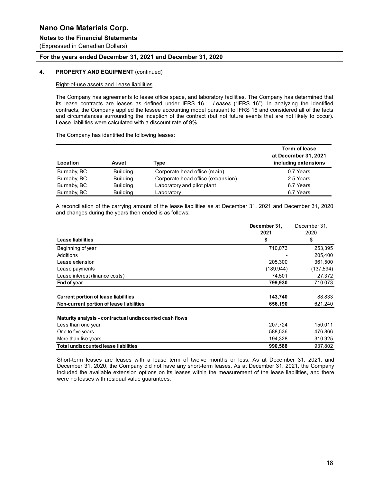#### **Notes to the Financial Statements**

(Expressed in Canadian Dollars)

#### **For the years ended December 31, 2021 and December 31, 2020**

#### **4. PROPERTY AND EQUIPMENT** (continued)

#### Right-of-use assets and Lease liabilities

The Company has agreements to lease office space, and laboratory facilities. The Company has determined that its lease contracts are leases as defined under IFRS 16 – *Leases* ("IFRS 16"). In analyzing the identified contracts, the Company applied the lessee accounting model pursuant to IFRS 16 and considered all of the facts and circumstances surrounding the inception of the contract (but not future events that are not likely to occur). Lease liabilities were calculated with a discount rate of 9%.

The Company has identified the following leases:

| Location    | Asset           | Type                              | Term of lease<br>at December 31, 2021<br>including extensions |
|-------------|-----------------|-----------------------------------|---------------------------------------------------------------|
| Burnaby, BC | <b>Building</b> | Corporate head office (main)      | 0.7 Years                                                     |
| Burnaby, BC | <b>Building</b> | Corporate head office (expansion) | 2.5 Years                                                     |
| Burnaby, BC | <b>Building</b> | Laboratory and pilot plant        | 6.7 Years                                                     |
| Burnaby, BC | <b>Building</b> | Laboratorv                        | 6.7 Years                                                     |

A reconciliation of the carrying amount of the lease liabilities as at December 31, 2021 and December 31, 2020 and changes during the years then ended is as follows:

|                                                         | December 31, | December 31. |
|---------------------------------------------------------|--------------|--------------|
|                                                         | 2021         | 2020         |
| Lease liabilities                                       | \$           | \$           |
| Beginning of year                                       | 710,073      | 253,395      |
| Additions                                               |              | 205,400      |
| Lease extension                                         | 205,300      | 361,500      |
| Lease payments                                          | (189, 944)   | (137, 594)   |
| Lease interest (finance costs)                          | 74,501       | 27,372       |
| End of year                                             | 799,930      | 710,073      |
| <b>Current portion of lease liabilities</b>             | 143,740      | 88,833       |
| Non-current portion of lease liabilities                | 656,190      | 621,240      |
| Maturity analysis - contractual undiscounted cash flows |              |              |
| Less than one year                                      | 207,724      | 150,011      |
| One to five years                                       | 588,536      | 476,866      |
| More than five years                                    | 194,328      | 310,925      |
| <b>Total undiscounted lease liabilities</b>             | 990,588      | 937,802      |

Short-term leases are leases with a lease term of twelve months or less. As at December 31, 2021, and December 31, 2020, the Company did not have any short-term leases. As at December 31, 2021, the Company included the available extension options on its leases within the measurement of the lease liabilities, and there were no leases with residual value guarantees.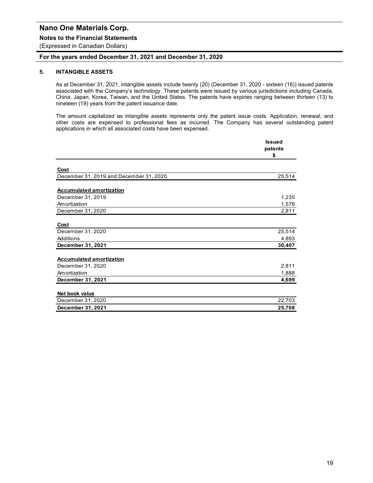#### **Notes to the Financial Statements**

(Expressed in Canadian Dollars)

#### **For the years ended December 31, 2021 and December 31, 2020**

#### **5. INTANGIBLE ASSETS**

As at December 31, 2021, intangible assets include twenty (20) (December 31, 2020 - sixteen (16)) issued patents associated with the Company's technology. These patents were issued by various jurisdictions including Canada, China, Japan, Korea, Taiwan, and the United States. The patents have expiries ranging between thirteen (13) to nineteen (19) years from the patent issuance date.

The amount capitalized as intangible assets represents only the patent issue costs. Application, renewal, and other costs are expensed to professional fees as incurred. The Company has several outstanding patent applications in which all associated costs have been expensed.

|                                         | <b>Issued</b> |
|-----------------------------------------|---------------|
|                                         | patents       |
|                                         | \$            |
|                                         |               |
| Cost                                    |               |
| December 31, 2019 and December 31, 2020 | 25,514        |
| <b>Accumulated amortization</b>         |               |
| December 31, 2019                       | 1,235         |
| Amortization                            | 1,576         |
| December 31, 2020                       | 2,811         |
| Cost                                    |               |
| December 31, 2020                       | 25,514        |
| Additions                               | 4,893         |
| December 31, 2021                       | 30,407        |
| <b>Accumulated amortization</b>         |               |
| December 31, 2020                       | 2,811         |
| Amortization                            | 1,888         |
| December 31, 2021                       | 4,699         |
| Net book value                          |               |
| December 31, 2020                       | 22,703        |
| December 31, 2021                       | 25,708        |
|                                         |               |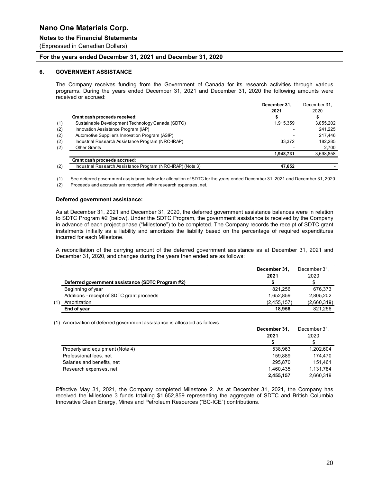#### **Notes to the Financial Statements**

(Expressed in Canadian Dollars)

#### **For the years ended December 31, 2021 and December 31, 2020**

#### **6. GOVERNMENT ASSISTANCE**

The Company receives funding from the Government of Canada for its research activities through various programs. During the years ended December 31, 2021 and December 31, 2020 the following amounts were received or accrued:

|     |                                                            | December 31.<br>2021 | December 31.<br>2020 |
|-----|------------------------------------------------------------|----------------------|----------------------|
|     | Grant cash proceeds received:                              |                      |                      |
| (1) | Sustainable Development Technology Canada (SDTC)           | 1,915,359            | 3,055,202            |
| (2) | Innovation Assistance Program (IAP)                        |                      | 241,225              |
| (2) | Automotive Supplier's Innovation Program (ASIP)            |                      | 217.446              |
| (2) | Industrial Research Assistance Program (NRC-IRAP)          | 33,372               | 182,285              |
| (2) | <b>Other Grants</b>                                        |                      | 2,700                |
|     |                                                            | 1,948,731            | 3,698,858            |
|     | Grant cash proceeds accrued:                               |                      |                      |
| (2) | Industrial Research Assistance Program (NRC-IRAP) (Note 3) | 47,652               |                      |

(1) See deferred government assistance below for allocation of SDTC for the years ended December 31, 2021 and December 31, 2020.

(2) Proceeds and accruals are recorded within research expenses, net.

#### **Deferred government assistance:**

As at December 31, 2021 and December 31, 2020, the deferred government assistance balances were in relation to SDTC Program #2 (below). Under the SDTC Program, the government assistance is received by the Company in advance of each project phase ("Milestone") to be completed. The Company records the receipt of SDTC grant instalments initially as a liability and amortizes the liability based on the percentage of required expenditures incurred for each Milestone.

A reconciliation of the carrying amount of the deferred government assistance as at December 31, 2021 and December 31, 2020, and changes during the years then ended are as follows:

|                                                  | December 31. | December 31, |
|--------------------------------------------------|--------------|--------------|
|                                                  | 2021         | 2020         |
| Deferred government assistance (SDTC Program #2) |              |              |
| Beginning of year                                | 821.256      | 676.373      |
| Additions - receipt of SDTC grant proceeds       | 1.652.859    | 2.805.202    |
| Amortization                                     | (2,455,157)  | (2,660,319)  |
| End of year                                      | 18.958       | 821.256      |

(1) Amortization of deferred government assistance is allocated as follows:

|                                 | December 31,<br>December 31. |           |
|---------------------------------|------------------------------|-----------|
|                                 | 2021                         | 2020      |
|                                 |                              |           |
| Property and equipment (Note 4) | 538.963                      | 1,202,604 |
| Professional fees, net          | 159.889                      | 174.470   |
| Salaries and benefits, net      | 295.870                      | 151.461   |
| Research expenses, net          | 1.460.435                    | 1,131,784 |
|                                 | 2,455,157                    | 2.660.319 |

Effective May 31, 2021, the Company completed Milestone 2. As at December 31, 2021, the Company has received the Milestone 3 funds totalling \$1,652,859 representing the aggregate of SDTC and British Columbia Innovative Clean Energy, Mines and Petroleum Resources ("BC-ICE") contributions.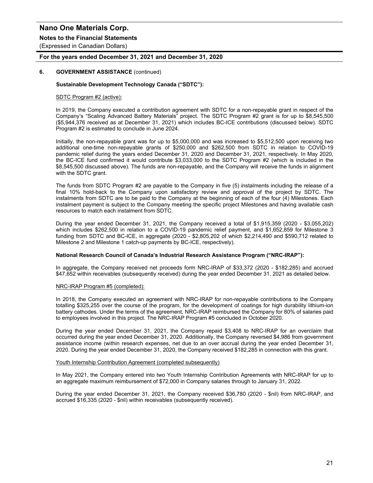#### **Notes to the Financial Statements**

(Expressed in Canadian Dollars)

#### **For the years ended December 31, 2021 and December 31, 2020**

#### **6. GOVERNMENT ASSISTANCE** (continued)

#### **Sustainable Development Technology Canada ("SDTC"):**

#### SDTC Program #2 (active):

In 2019, the Company executed a contribution agreement with SDTC for a non-repayable grant in respect of the Company's "Scaling Advanced Battery Materials" project. The SDTC Program #2 grant is for up to \$8,545,500 (\$5,944,376 received as at December 31, 2021) which includes BC-ICE contributions (discussed below). SDTC Program #2 is estimated to conclude in June 2024.

Initially, the non-repayable grant was for up to \$5,000,000 and was increased to \$5,512,500 upon receiving two additional one-time non-repayable grants of \$250,000 and \$262,500 from SDTC in relation to COVID-19 pandemic relief during the years ended December 31, 2020 and December 31, 2021, respectively. In May 2020, the BC-ICE fund confirmed it would contribute \$3,033,000 to the SDTC Program #2 (which is included in the \$8,545,500 discussed above). The funds are non-repayable, and the Company will receive the funds in alignment with the SDTC grant.

The funds from SDTC Program #2 are payable to the Company in five (5) instalments including the release of a final 10% hold-back to the Company upon satisfactory review and approval of the project by SDTC. The instalments from SDTC are to be paid to the Company at the beginning of each of the four (4) Milestones. Each instalment payment is subject to the Company meeting the specific project Milestones and having available cash resources to match each instalment from SDTC.

During the year ended December 31, 2021, the Company received a total of \$1,915,359 (2020 - \$3,055,202) which includes \$262,500 in relation to a COVID-19 pandemic relief payment, and \$1,652,859 for Milestone 3 funding from SDTC and BC-ICE, in aggregate (2020 - \$2,805,202 of which \$2,214,490 and \$590,712 related to Milestone 2 and Milestone 1 catch-up payments by BC-ICE, respectively).

#### **National Research Council of Canada's Industrial Research Assistance Program ("NRC-IRAP"):**

In aggregate, the Company received net proceeds form NRC-IRAP of \$33,372 (2020 - \$182,285) and accrued \$47,652 within receivables (subsequently received) during the year ended December 31, 2021 as detailed below.

#### NRC-IRAP Program #5 (completed):

In 2018, the Company executed an agreement with NRC-IRAP for non-repayable contributions to the Company totalling \$325,255 over the course of the program, for the development of coatings for high durability lithium-ion battery cathodes. Under the terms of the agreement, NRC-IRAP reimbursed the Company for 80% of salaries paid to employees involved in this project. The NRC-IRAP Program #5 concluded in October 2020.

During the year ended December 31, 2021, the Company repaid \$3,408 to NRC-IRAP for an overclaim that occurred during the year ended December 31, 2020. Additionally, the Company reversed \$4,986 from government assistance income (within research expenses, net due to an over accrual during the year ended December 31, 2020. During the year ended December 31, 2020, the Company received \$182,285 in connection with this grant.

#### Youth Internship Contribution Agreement (completed subsequently)

In May 2021, the Company entered into two Youth Internship Contribution Agreements with NRC-IRAP for up to an aggregate maximum reimbursement of \$72,000 in Company salaries through to January 31, 2022.

During the year ended December 31, 2021, the Company received \$36,780 (2020 - \$nil) from NRC-IRAP, and accrued \$16,335 (2020 - \$nil) within receivables (subsequently received).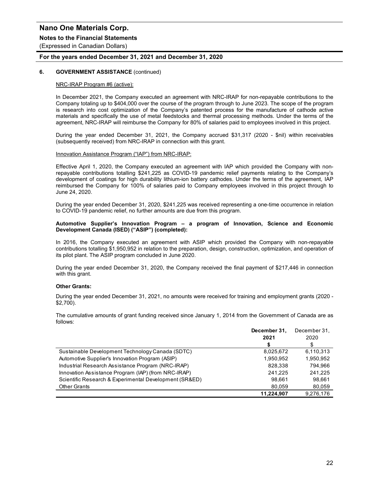#### **Notes to the Financial Statements**

(Expressed in Canadian Dollars)

#### **For the years ended December 31, 2021 and December 31, 2020**

#### **6. GOVERNMENT ASSISTANCE** (continued)

#### NRC-IRAP Program #6 (active):

In December 2021, the Company executed an agreement with NRC-IRAP for non-repayable contributions to the Company totaling up to \$404,000 over the course of the program through to June 2023. The scope of the program is research into cost optimization of the Company's patented process for the manufacture of cathode active materials and specifically the use of metal feedstocks and thermal processing methods. Under the terms of the agreement, NRC-IRAP will reimburse the Company for 80% of salaries paid to employees involved in this project.

During the year ended December 31, 2021, the Company accrued \$31,317 (2020 - \$nil) within receivables (subsequently received) from NRC-IRAP in connection with this grant.

#### Innovation Assistance Program ("IAP") from NRC-IRAP:

Effective April 1, 2020, the Company executed an agreement with IAP which provided the Company with nonrepayable contributions totalling \$241,225 as COVID-19 pandemic relief payments relating to the Company's development of coatings for high durability lithium-ion battery cathodes. Under the terms of the agreement, IAP reimbursed the Company for 100% of salaries paid to Company employees involved in this project through to June 24, 2020.

During the year ended December 31, 2020, \$241,225 was received representing a one-time occurrence in relation to COVID-19 pandemic relief, no further amounts are due from this program.

#### **Automotive Supplier's Innovation Program – a program of Innovation, Science and Economic Development Canada (ISED) ("ASIP") (completed):**

In 2016, the Company executed an agreement with ASIP which provided the Company with non-repayable contributions totalling \$1,950,952 in relation to the preparation, design, construction, optimization, and operation of its pilot plant. The ASIP program concluded in June 2020.

During the year ended December 31, 2020, the Company received the final payment of \$217,446 in connection with this grant.

#### **Other Grants:**

During the year ended December 31, 2021, no amounts were received for training and employment grants (2020 - \$2,700).

The cumulative amounts of grant funding received since January 1, 2014 from the Government of Canada are as follows:

|                                                        | December 31, | December 31, |
|--------------------------------------------------------|--------------|--------------|
|                                                        | 2021         | 2020         |
|                                                        |              | S            |
| Sustainable Development Technology Canada (SDTC)       | 8.025.672    | 6.110.313    |
| Automotive Supplier's Innovation Program (ASIP)        | 1,950,952    | 1,950,952    |
| Industrial Research Assistance Program (NRC-IRAP)      | 828,338      | 794.966      |
| Innovation Assistance Program (IAP) (from NRC-IRAP)    | 241.225      | 241,225      |
| Scientific Research & Experimental Development (SR&ED) | 98,661       | 98.661       |
| <b>Other Grants</b>                                    | 80,059       | 80,059       |
|                                                        | 11.224.907   | 9,276,176    |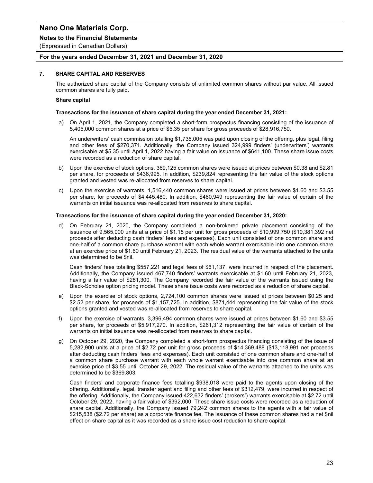#### **Notes to the Financial Statements**

(Expressed in Canadian Dollars)

#### **For the years ended December 31, 2021 and December 31, 2020**

#### **7. SHARE CAPITAL AND RESERVES**

The authorized share capital of the Company consists of unlimited common shares without par value. All issued common shares are fully paid.

#### **Share capital**

#### **Transactions for the issuance of share capital during the year ended December 31, 2021:**

a) On April 1, 2021, the Company completed a short-form prospectus financing consisting of the issuance of 5,405,000 common shares at a price of \$5.35 per share for gross proceeds of \$28,916,750.

An underwriters' cash commission totalling \$1,735,005 was paid upon closing of the offering, plus legal, filing and other fees of \$270,371. Additionally, the Company issued 324,999 finders' (underwriters') warrants exercisable at \$5.35 until April 1, 2022 having a fair value on issuance of \$641,100. These share issue costs were recorded as a reduction of share capital.

- b) Upon the exercise of stock options, 369,125 common shares were issued at prices between \$0.38 and \$2.81 per share, for proceeds of \$436,995. In addition, \$239,824 representing the fair value of the stock options granted and vested was re-allocated from reserves to share capital.
- c) Upon the exercise of warrants, 1,516,440 common shares were issued at prices between \$1.60 and \$3.55 per share, for proceeds of \$4,445,480. In addition, \$480,949 representing the fair value of certain of the warrants on initial issuance was re-allocated from reserves to share capital.

#### **Transactions for the issuance of share capital during the year ended December 31, 2020:**

d) On February 21, 2020, the Company completed a non-brokered private placement consisting of the issuance of 9,565,000 units at a price of \$1.15 per unit for gross proceeds of \$10,999,750 (\$10,381,392 net proceeds after deducting cash finders' fees and expenses). Each unit consisted of one common share and one-half of a common share purchase warrant with each whole warrant exercisable into one common share at an exercise price of \$1.60 until February 21, 2023. The residual value of the warrants attached to the units was determined to be \$nil.

Cash finders' fees totalling \$557,221 and legal fees of \$61,137, were incurred in respect of the placement. Additionally, the Company issued 467,740 finders' warrants exercisable at \$1.60 until February 21, 2023, having a fair value of \$281,300. The Company recorded the fair value of the warrants issued using the Black-Scholes option pricing model. These share issue costs were recorded as a reduction of share capital.

- e) Upon the exercise of stock options, 2,724,100 common shares were issued at prices between \$0.25 and \$2.52 per share, for proceeds of \$1,157,725. In addition, \$871,444 representing the fair value of the stock options granted and vested was re-allocated from reserves to share capital.
- f) Upon the exercise of warrants, 3,396,494 common shares were issued at prices between \$1.60 and \$3.55 per share, for proceeds of \$5,917,270. In addition, \$261,312 representing the fair value of certain of the warrants on initial issuance was re-allocated from reserves to share capital.
- g) On October 29, 2020, the Company completed a short-form prospectus financing consisting of the issue of 5,282,900 units at a price of \$2.72 per unit for gross proceeds of \$14,369,488 (\$13,118,991 net proceeds after deducting cash finders' fees and expenses). Each unit consisted of one common share and one-half of a common share purchase warrant with each whole warrant exercisable into one common share at an exercise price of \$3.55 until October 29, 2022. The residual value of the warrants attached to the units was determined to be \$369,803.

Cash finders' and corporate finance fees totalling \$938,018 were paid to the agents upon closing of the offering. Additionally, legal, transfer agent and filing and other fees of \$312,479, were incurred in respect of the offering. Additionally, the Company issued 422,632 finders' (brokers') warrants exercisable at \$2.72 until October 29, 2022, having a fair value of \$392,000. These share issue costs were recorded as a reduction of share capital. Additionally, the Company issued 79,242 common shares to the agents with a fair value of \$215,538 (\$2.72 per share) as a corporate finance fee. The issuance of these common shares had a net \$nil effect on share capital as it was recorded as a share issue cost reduction to share capital.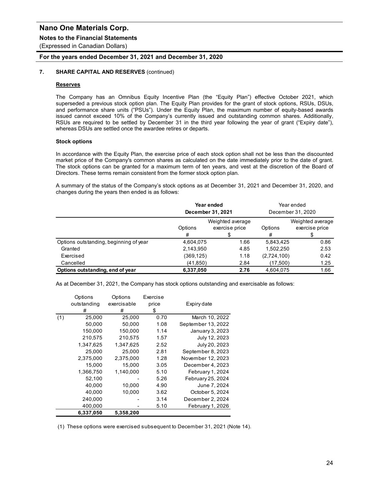#### **Notes to the Financial Statements**

(Expressed in Canadian Dollars)

#### **For the years ended December 31, 2021 and December 31, 2020**

#### **7. SHARE CAPITAL AND RESERVES** (continued)

#### **Reserves**

The Company has an Omnibus Equity Incentive Plan (the "Equity Plan") effective October 2021, which superseded a previous stock option plan. The Equity Plan provides for the grant of stock options, RSUs, DSUs, and performance share units ("PSUs"). Under the Equity Plan, the maximum number of equity-based awards issued cannot exceed 10% of the Company's currently issued and outstanding common shares. Additionally, RSUs are required to be settled by December 31 in the third year following the year of grant ("Expiry date"), whereas DSUs are settled once the awardee retires or departs.

#### **Stock options**

In accordance with the Equity Plan, the exercise price of each stock option shall not be less than the discounted market price of the Company's common shares as calculated on the date immediately prior to the date of grant. The stock options can be granted for a maximum term of ten years, and vest at the discretion of the Board of Directors. These terms remain consistent from the former stock option plan.

A summary of the status of the Company's stock options as at December 31, 2021 and December 31, 2020, and changes during the years then ended is as follows:

|                                        | Year ended<br>December 31, 2021 |                  | Year ended  |                   |
|----------------------------------------|---------------------------------|------------------|-------------|-------------------|
|                                        |                                 |                  |             | December 31, 2020 |
|                                        |                                 | Weighted average |             | Weighted average  |
|                                        | Options                         | exercise price   | Options     | exercise price    |
|                                        | #                               |                  | #           |                   |
| Options outstanding, beginning of year | 4,604,075                       | 1.66             | 5,843,425   | 0.86              |
| Granted                                | 2,143,950                       | 4.85             | 1,502,250   | 2.53              |
| Exercised                              | (369, 125)                      | 1.18             | (2,724,100) | 0.42              |
| Cancelled                              | (41,850)                        | 2.84             | (17,500)    | 1.25              |
| Options outstanding, end of year       | 6,337,050                       | 2.76             | 4.604.075   | 1.66              |

As at December 31, 2021, the Company has stock options outstanding and exercisable as follows:

|     | Options     | Options     | Exercise |                    |
|-----|-------------|-------------|----------|--------------------|
|     | outstanding | exercisable | price    | Expiry date        |
|     | #           | #           | \$       |                    |
| (1) | 25,000      | 25,000      | 0.70     | March 10, 2022     |
|     | 50,000      | 50,000      | 1.08     | September 13, 2022 |
|     | 150,000     | 150,000     | 1.14     | January 3, 2023    |
|     | 210,575     | 210,575     | 1.57     | July 12, 2023      |
|     | 1,347,625   | 1,347,625   | 2.52     | July 20, 2023      |
|     | 25,000      | 25,000      | 2.81     | September 8, 2023  |
|     | 2,375,000   | 2,375,000   | 1.28     | November 12, 2023  |
|     | 15,000      | 15,000      | 3.05     | December 4, 2023   |
|     | 1,366,750   | 1,140,000   | 5.10     | February 1, 2024   |
|     | 52,100      |             | 5.26     | February 25, 2024  |
|     | 40,000      | 10,000      | 4.90     | June 7, 2024       |
|     | 40,000      | 10,000      | 3.62     | October 5, 2024    |
|     | 240,000     |             | 3.14     | December 2, 2024   |
|     | 400,000     |             | 5.10     | February 1, 2026   |
|     | 6,337,050   | 5,358,200   |          |                    |

(1) These options were exercised subsequent to December 31, 2021 (Note 14).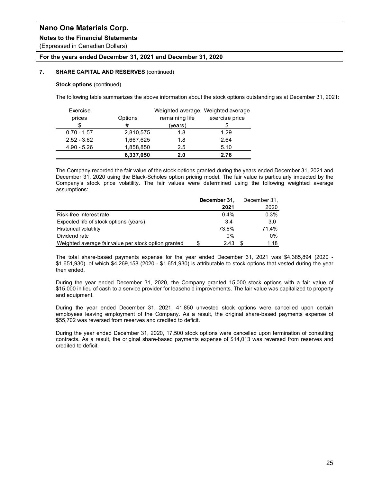#### **Notes to the Financial Statements**

(Expressed in Canadian Dollars)

#### **For the years ended December 31, 2021 and December 31, 2020**

#### **7. SHARE CAPITAL AND RESERVES** (continued)

#### **Stock options** (continued)

The following table summarizes the above information about the stock options outstanding as at December 31, 2021:

| Exercise      |           |                | Weighted average Weighted average |
|---------------|-----------|----------------|-----------------------------------|
| prices        | Options   | remaining life | exercise price                    |
| \$            | #         | (years)        |                                   |
| $0.70 - 1.57$ | 2,810,575 | 1.8            | 1.29                              |
| $2.52 - 3.62$ | 1,667,625 | 1.8            | 2.64                              |
| $4.90 - 5.26$ | 1,858,850 | 2.5            | 5.10                              |
|               | 6,337,050 | 2.0            | 2.76                              |

The Company recorded the fair value of the stock options granted during the years ended December 31, 2021 and December 31, 2020 using the Black-Scholes option pricing model. The fair value is particularly impacted by the Company's stock price volatility. The fair values were determined using the following weighted average assumptions:

|                                                      |    | December 31, |    | December 31. |
|------------------------------------------------------|----|--------------|----|--------------|
|                                                      |    | 2021         |    | 2020         |
| Risk-free interest rate                              |    | 0.4%         |    | 0.3%         |
| Expected life of stock options (years)               |    | 3.4          |    | 3.0          |
| Historical volatility                                |    | 73.6%        |    | 71.4%        |
| Dividend rate                                        |    | $0\%$        |    | $0\%$        |
| Weighted average fair value per stock option granted | S. | 2.43         | -S | 1.18         |

The total share-based payments expense for the year ended December 31, 2021 was \$4,385,894 (2020 - \$1,651,930), of which \$4,269,158 (2020 - \$1,651,930) is attributable to stock options that vested during the year then ended.

During the year ended December 31, 2020, the Company granted 15,000 stock options with a fair value of \$15,000 in lieu of cash to a service provider for leasehold improvements. The fair value was capitalized to property and equipment.

During the year ended December 31, 2021, 41,850 unvested stock options were cancelled upon certain employees leaving employment of the Company. As a result, the original share-based payments expense of \$55,702 was reversed from reserves and credited to deficit.

During the year ended December 31, 2020, 17,500 stock options were cancelled upon termination of consulting contracts. As a result, the original share-based payments expense of \$14,013 was reversed from reserves and credited to deficit.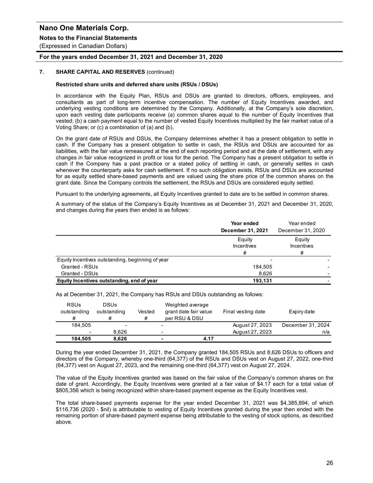#### **Notes to the Financial Statements**

(Expressed in Canadian Dollars)

#### **For the years ended December 31, 2021 and December 31, 2020**

#### **7. SHARE CAPITAL AND RESERVES** (continued)

#### **Restricted share units and deferred share units (RSUs / DSUs)**

In accordance with the Equity Plan, RSUs and DSUs are granted to directors, officers, employees, and consultants as part of long-term incentive compensation. The number of Equity Incentives awarded, and underlying vesting conditions are determined by the Company. Additionally, at the Company's sole discretion, upon each vesting date participants receive (a) common shares equal to the number of Equity Incentives that vested; (b) a cash payment equal to the number of vested Equity Incentives multiplied by the fair market value of a Voting Share; or (c) a combination of (a) and (b).

On the grant date of RSUs and DSUs, the Company determines whether it has a present obligation to settle in cash. If the Company has a present obligation to settle in cash, the RSUs and DSUs are accounted for as liabilities, with the fair value remeasured at the end of each reporting period and at the date of settlement, with any changes in fair value recognized in profit or loss for the period. The Company has a present obligation to settle in cash if the Company has a past practice or a stated policy of settling in cash, or generally settles in cash whenever the counterparty asks for cash settlement. If no such obligation exists, RSUs and DSUs are accounted for as equity settled share-based payments and are valued using the share price of the common shares on the grant date. Since the Company controls the settlement, the RSUs and DSUs are considered equity settled.

Pursuant to the underlying agreements, all Equity Incentives granted to date are to be settled in common shares.

A summary of the status of the Company's Equity Incentives as at December 31, 2021 and December 31, 2020, and changes during the years then ended is as follows:

|                                                  | Year ended<br>December 31, 2021 | Year ended<br>December 31, 2020 |
|--------------------------------------------------|---------------------------------|---------------------------------|
|                                                  | Equity<br>Incentives            | Equity<br>Incentives            |
|                                                  | #                               | #                               |
| Equity Incentives outstanding, beginning of year |                                 |                                 |
| Granted - RSUs                                   | 184.505                         |                                 |
| Granted - DSUs                                   | 8.626                           |                                 |
| Equity Incentives outstanding, end of year       | 193.131                         |                                 |

As at December 31, 2021, the Company has RSUs and DSUs outstanding as follows:

| <b>RSUs</b><br>outstanding<br># | <b>DSUs</b><br>outstanding | Vested<br># | Weighted average<br>grant date fair value<br>per RSU & DSU | Final vesting date | Expiry date       |
|---------------------------------|----------------------------|-------------|------------------------------------------------------------|--------------------|-------------------|
| 184.505                         | -                          |             | -                                                          | August 27, 2023    | December 31, 2024 |
| $\overline{\phantom{a}}$        | 8.626                      |             | $\overline{\phantom{0}}$                                   | August 27, 2023    | n/a               |
| 184,505                         | 8.626                      |             | 4.17<br>$\blacksquare$                                     |                    |                   |

During the year ended December 31, 2021, the Company granted 184,505 RSUs and 8,626 DSUs to officers and directors of the Company, whereby one-third (64,377) of the RSUs and DSUs vest on August 27, 2022, one-third (64,377) vest on August 27, 2023, and the remaining one-third (64,377) vest on August 27, 2024.

The value of the Equity Incentives granted was based on the fair value of the Company's common shares on the date of grant. Accordingly, the Equity Incentives were granted at a fair value of \$4.17 each for a total value of \$805,356 which is being recognized within share-based payment expense as the Equity Incentives vest.

The total share-based payments expense for the year ended December 31, 2021 was \$4,385,894, of which \$116,736 (2020 - \$nil) is attributable to vesting of Equity Incentives granted during the year then ended with the remaining portion of share-based payment expense being attributable to the vesting of stock options, as described above.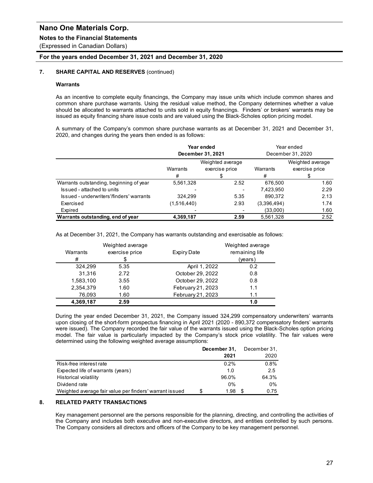#### **Notes to the Financial Statements**

(Expressed in Canadian Dollars)

#### **For the years ended December 31, 2021 and December 31, 2020**

#### **7. SHARE CAPITAL AND RESERVES** (continued)

#### **Warrants**

As an incentive to complete equity financings, the Company may issue units which include common shares and common share purchase warrants. Using the residual value method, the Company determines whether a value should be allocated to warrants attached to units sold in equity financings. Finders' or brokers' warrants may be issued as equity financing share issue costs and are valued using the Black-Scholes option pricing model.

A summary of the Company's common share purchase warrants as at December 31, 2021 and December 31, 2020, and changes during the years then ended is as follows:

|                                          | Year ended<br>December 31, 2021                |      | Year ended<br>December 31, 2020                |      |
|------------------------------------------|------------------------------------------------|------|------------------------------------------------|------|
|                                          | Weighted average<br>exercise price<br>Warrants |      | Weighted average<br>exercise price<br>Warrants |      |
|                                          | #                                              |      | #                                              |      |
| Warrants outstanding, beginning of year  | 5,561,328                                      | 2.52 | 676.500                                        | 1.60 |
| Issued - attached to units               |                                                | ٠    | 7,423,950                                      | 2.29 |
| Issued - underwriters'/finders' warrants | 324.299                                        | 5.35 | 890.372                                        | 2.13 |
| Exercised                                | (1,516,440)                                    | 2.93 | (3,396,494)                                    | 1.74 |
| Expired                                  |                                                |      | (33,000)                                       | 1.60 |
| Warrants outstanding, end of year        | 4,369,187                                      | 2.59 | 5,561,328                                      | 2.52 |

As at December 31, 2021, the Company has warrants outstanding and exercisable as follows:

| Warrants<br># | Weighted average<br>exercise price | Expiry Date       | Weighted average<br>remaining life<br>(years) |
|---------------|------------------------------------|-------------------|-----------------------------------------------|
| 324,299       | 5.35                               | April 1, 2022     | 0.2                                           |
| 31.316        | 2.72                               | October 29, 2022  | 0.8                                           |
| 1,583,100     | 3.55                               | October 29, 2022  | 0.8                                           |
| 2,354,379     | 1.60                               | February 21, 2023 | 1.1                                           |
| 76,093        | 1.60                               | February 21, 2023 | 1.1                                           |
| 4,369,187     | 2.59                               |                   | 1.0                                           |

During the year ended December 31, 2021, the Company issued 324,299 compensatory underwriters' warrants upon closing of the short-form prospectus financing in April 2021 (2020 - 890,372 compensatory finders' warrants were issued). The Company recorded the fair value of the warrants issued using the Black-Scholes option pricing model. The fair value is particularly impacted by the Company's stock price volatility. The fair values were determined using the following weighted average assumptions:

|                                                         | December 31, | December 31. |
|---------------------------------------------------------|--------------|--------------|
|                                                         | 2021         | 2020         |
| Risk-free interest rate                                 | $0.2\%$      | 0.8%         |
| Expected life of warrants (years)                       | 1.0          | 2.5          |
| Historical volatility                                   | 96.0%        | 64.3%        |
| Dividend rate                                           | $0\%$        | $0\%$        |
| Weighted average fair value per finders' warrant issued | \$<br>1.98   | 0.75         |

#### **8. RELATED PARTY TRANSACTIONS**

Key management personnel are the persons responsible for the planning, directing, and controlling the activities of the Company and includes both executive and non-executive directors, and entities controlled by such persons. The Company considers all directors and officers of the Company to be key management personnel.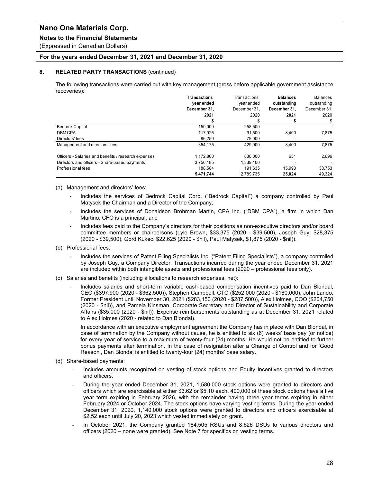#### **Notes to the Financial Statements**

(Expressed in Canadian Dollars)

#### **For the years ended December 31, 2021 and December 31, 2020**

#### **8. RELATED PARTY TRANSACTIONS** (continued)

The following transactions were carried out with key management (gross before applicable government assistance recoveries):

|                                                      | <b>Transactions</b> | Transactions | <b>Balances</b> | <b>Balances</b> |
|------------------------------------------------------|---------------------|--------------|-----------------|-----------------|
|                                                      | year ended          | year ended   | outstanding     | outstanding     |
|                                                      | December 31.        | December 31. | December 31.    | December 31.    |
|                                                      | 2021                | 2020         | 2021            | 2020            |
|                                                      |                     |              |                 | \$              |
| <b>Bedrock Capital</b>                               | 150.000             | 258,500      |                 |                 |
| <b>DBMCPA</b>                                        | 117.925             | 91.500       | 8.400           | 7,875           |
| Directors' fees                                      | 86.250              | 79.000       |                 |                 |
| Management and directors' fees                       | 354.175             | 429.000      | 8.400           | 7,875           |
| Officers - Salaries and benefits / research expenses | 1,172,800           | 830.000      | 631             | 2,696           |
| Directors and officers - Share-based payments        | 3.756.185           | 1.339.100    |                 |                 |
| Professional fees                                    | 188.584             | 191.635      | 15.993          | 38,753          |
|                                                      | 5,471,744           | 2,789,735    | 25,024          | 49,324          |

(a) Management and directors' fees:

- Includes the services of Bedrock Capital Corp. ("Bedrock Capital") a company controlled by Paul Matysek the Chairman and a Director of the Company;
- Includes the services of Donaldson Brohman Martin, CPA Inc. ("DBM CPA"), a firm in which Dan Martino, CFO is a principal; and
- Includes fees paid to the Company's directors for their positions as non-executive directors and/or board committee members or chairpersons (Lyle Brown, \$33,375 (2020 - \$39,500), Joseph Guy, \$28,375 (2020 - \$39,500), Gord Kukec, \$22,625 (2020 - \$nil), Paul Matysek, \$1,875 (2020 - \$nil)).
- (b) Professional fees:
	- Includes the services of Patent Filing Specialists Inc. ("Patent Filing Specialists"), a company controlled by Joseph Guy, a Company Director. Transactions incurred during the year ended December 31, 2021 are included within both intangible assets and professional fees (2020 – professional fees only).
- (c) Salaries and benefits (including allocations to research expenses, net):
	- Includes salaries and short-term variable cash-based compensation incentives paid to Dan Blondal, CEO (\$397,900 (2020 - \$362,500)), Stephen Campbell, CTO (\$252,000 (2020 - \$180,000), John Lando, Former President until November 30, 2021 (\$283,150 (2020 - \$287,500)), Alex Holmes, COO (\$204,750 (2020 - \$nil)), and Pamela Kinsman, Corporate Secretary and Director of Sustainability and Corporate Affairs (\$35,000 (2020 - \$nil)). Expense reimbursements outstanding as at December 31, 2021 related to Alex Holmes (2020 - related to Dan Blondal).

In accordance with an executive employment agreement the Company has in place with Dan Blondal, in case of termination by the Company without cause, he is entitled to six (6) weeks' base pay (or notice) for every year of service to a maximum of twenty-four (24) months. He would not be entitled to further bonus payments after termination. In the case of resignation after a Change of Control and for 'Good Reason', Dan Blondal is entitled to twenty-four (24) months' base salary.

- (d) Share-based payments:
	- Includes amounts recognized on vesting of stock options and Equity Incentives granted to directors and officers.
	- During the year ended December 31, 2021, 1,580,000 stock options were granted to directors and officers which are exercisable at either \$3.62 or \$5.10 each. 400,000 of these stock options have a five year term expiring in February 2026, with the remainder having three year terms expiring in either February 2024 or October 2024. The stock options have varying vesting terms. During the year ended December 31, 2020, 1,140,000 stock options were granted to directors and officers exercisable at \$2.52 each until July 20, 2023 which vested immediately on grant.
	- In October 2021, the Company granted 184,505 RSUs and 8,626 DSUs to various directors and officers (2020 – none were granted). See Note 7 for specifics on vesting terms.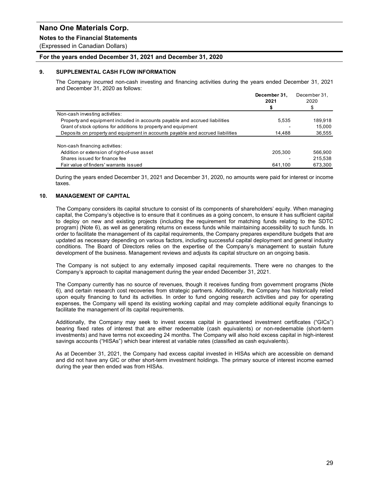#### **Notes to the Financial Statements**

(Expressed in Canadian Dollars)

#### **For the years ended December 31, 2021 and December 31, 2020**

#### **9. SUPPLEMENTAL CASH FLOW INFORMATION**

The Company incurred non-cash investing and financing activities during the years ended December 31, 2021 and December 31, 2020 as follows:

|                                                                                | December 31.<br>2021 | December 31,<br>2020 |  |
|--------------------------------------------------------------------------------|----------------------|----------------------|--|
|                                                                                | \$                   | S                    |  |
| Non-cash investing activities:                                                 |                      |                      |  |
| Property and equipment included in accounts payable and accrued liabilities    | 5.535                | 189,918              |  |
| Grant of stock options for additions to property and equipment                 |                      | 15,000               |  |
| Deposits on property and equipment in accounts payable and accrued liabilities | 14,488               | 36,555               |  |
| Non-cash financing activities:                                                 |                      |                      |  |
| Addition or extension of right-of-use asset                                    | 205.300              | 566.900              |  |
| Shares issued for finance fee                                                  |                      | 215.538              |  |
| Fair value of finders' warrants issued                                         | 641.100              | 673,300              |  |

During the years ended December 31, 2021 and December 31, 2020, no amounts were paid for interest or income taxes.

#### **10. MANAGEMENT OF CAPITAL**

The Company considers its capital structure to consist of its components of shareholders' equity. When managing capital, the Company's objective is to ensure that it continues as a going concern, to ensure it has sufficient capital to deploy on new and existing projects (including the requirement for matching funds relating to the SDTC program) (Note 6), as well as generating returns on excess funds while maintaining accessibility to such funds. In order to facilitate the management of its capital requirements, the Company prepares expenditure budgets that are updated as necessary depending on various factors, including successful capital deployment and general industry conditions. The Board of Directors relies on the expertise of the Company's management to sustain future development of the business. Management reviews and adjusts its capital structure on an ongoing basis.

The Company is not subject to any externally imposed capital requirements. There were no changes to the Company's approach to capital management during the year ended December 31, 2021.

The Company currently has no source of revenues, though it receives funding from government programs (Note 6), and certain research cost recoveries from strategic partners. Additionally, the Company has historically relied upon equity financing to fund its activities. In order to fund ongoing research activities and pay for operating expenses, the Company will spend its existing working capital and may complete additional equity financings to facilitate the management of its capital requirements.

Additionally, the Company may seek to invest excess capital in guaranteed investment certificates ("GICs") bearing fixed rates of interest that are either redeemable (cash equivalents) or non-redeemable (short-term investments) and have terms not exceeding 24 months. The Company will also hold excess capital in high-interest savings accounts ("HISAs") which bear interest at variable rates (classified as cash equivalents).

As at December 31, 2021, the Company had excess capital invested in HISAs which are accessible on demand and did not have any GIC or other short-term investment holdings. The primary source of interest income earned during the year then ended was from HISAs.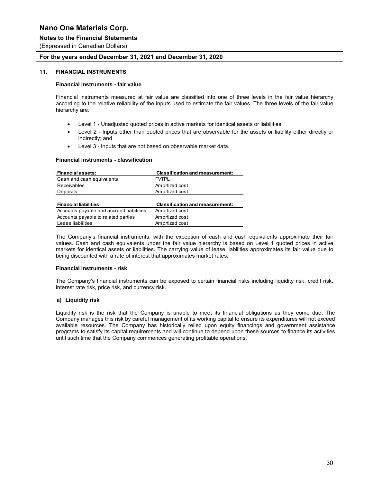#### **Notes to the Financial Statements**

(Expressed in Canadian Dollars)

#### **For the years ended December 31, 2021 and December 31, 2020**

#### **11. FINANCIAL INSTRUMENTS**

#### **Financial instruments - fair value**

Financial instruments measured at fair value are classified into one of three levels in the fair value hierarchy according to the relative reliability of the inputs used to estimate the fair values. The three levels of the fair value hierarchy are:

- Level 1 Unadjusted quoted prices in active markets for identical assets or liabilities;
- Level 2 Inputs other than quoted prices that are observable for the assets or liability either directly or indirectly; and
- Level 3 Inputs that are not based on observable market data.

#### **Financial instruments - classification**

| <b>Financial assets:</b>                 | <b>Classification and measurement:</b> |
|------------------------------------------|----------------------------------------|
| Cash and cash equivalents                | <b>FVTPI</b>                           |
| Receivables                              | Amortized cost                         |
| Deposits                                 | Amortized cost                         |
|                                          |                                        |
| <b>Financial liabilities:</b>            | <b>Classification and measurement:</b> |
| Accounts payable and accrued liabilities | Amortized cost                         |
| Accounts payable to related parties      | Amortized cost                         |
| Lease liabilities                        | Amortized cost                         |

The Company's financial instruments, with the exception of cash and cash equivalents approximate their fair values. Cash and cash equivalents under the fair value hierarchy is based on Level 1 quoted prices in active markets for identical assets or liabilities. The carrying value of lease liabilities approximates its fair value due to being discounted with a rate of interest that approximates market rates.

#### **Financial instruments - risk**

The Company's financial instruments can be exposed to certain financial risks including liquidity risk, credit risk, interest rate risk, price risk, and currency risk.

#### **a) Liquidity risk**

Liquidity risk is the risk that the Company is unable to meet its financial obligations as they come due. The Company manages this risk by careful management of its working capital to ensure its expenditures will not exceed available resources. The Company has historically relied upon equity financings and government assistance programs to satisfy its capital requirements and will continue to depend upon these sources to finance its activities until such time that the Company commences generating profitable operations.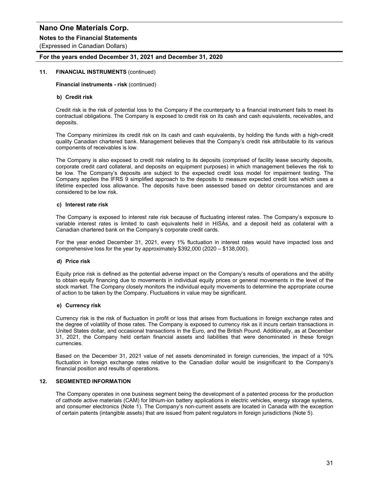#### **Notes to the Financial Statements**

(Expressed in Canadian Dollars)

#### **For the years ended December 31, 2021 and December 31, 2020**

#### **11. FINANCIAL INSTRUMENTS** (continued)

**Financial instruments - risk** (continued)

#### **b) Credit risk**

Credit risk is the risk of potential loss to the Company if the counterparty to a financial instrument fails to meet its contractual obligations. The Company is exposed to credit risk on its cash and cash equivalents, receivables, and deposits.

The Company minimizes its credit risk on its cash and cash equivalents, by holding the funds with a high-credit quality Canadian chartered bank. Management believes that the Company's credit risk attributable to its various components of receivables is low.

The Company is also exposed to credit risk relating to its deposits (comprised of facility lease security deposits, corporate credit card collateral, and deposits on equipment purposes) in which management believes the risk to be low. The Company's deposits are subject to the expected credit loss model for impairment testing. The Company applies the IFRS 9 simplified approach to the deposits to measure expected credit loss which uses a lifetime expected loss allowance. The deposits have been assessed based on debtor circumstances and are considered to be low risk.

#### **c) Interest rate risk**

The Company is exposed to interest rate risk because of fluctuating interest rates. The Company's exposure to variable interest rates is limited to cash equivalents held in HISAs, and a deposit held as collateral with a Canadian chartered bank on the Company's corporate credit cards.

For the year ended December 31, 2021, every 1% fluctuation in interest rates would have impacted loss and comprehensive loss for the year by approximately \$392,000 (2020 – \$138,000).

#### **d) Price risk**

Equity price risk is defined as the potential adverse impact on the Company's results of operations and the ability to obtain equity financing due to movements in individual equity prices or general movements in the level of the stock market. The Company closely monitors the individual equity movements to determine the appropriate course of action to be taken by the Company. Fluctuations in value may be significant.

#### **e) Currency risk**

Currency risk is the risk of fluctuation in profit or loss that arises from fluctuations in foreign exchange rates and the degree of volatility of those rates. The Company is exposed to currency risk as it incurs certain transactions in United States dollar, and occasional transactions in the Euro, and the British Pound. Additionally, as at December 31, 2021, the Company held certain financial assets and liabilities that were denominated in these foreign currencies.

Based on the December 31, 2021 value of net assets denominated in foreign currencies, the impact of a 10% fluctuation in foreign exchange rates relative to the Canadian dollar would be insignificant to the Company's financial position and results of operations.

#### **12. SEGMENTED INFORMATION**

The Company operates in one business segment being the development of a patented process for the production of cathode active materials (CAM) for lithium-ion battery applications in electric vehicles, energy storage systems, and consumer electronics (Note 1). The Company's non-current assets are located in Canada with the exception of certain patents (intangible assets) that are issued from patent regulators in foreign jurisdictions (Note 5).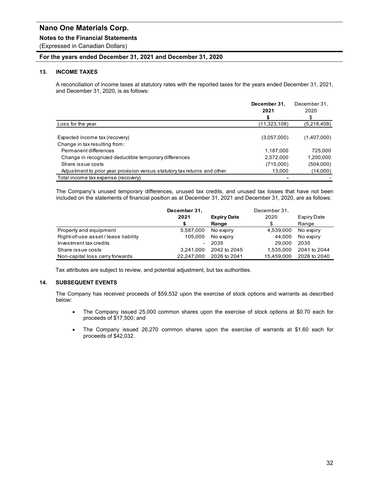#### **Notes to the Financial Statements**

(Expressed in Canadian Dollars)

#### **For the years ended December 31, 2021 and December 31, 2020**

#### **13. INCOME TAXES**

A reconciliation of income taxes at statutory rates with the reported taxes for the years ended December 31, 2021, and December 31, 2020, is as follows:

|                                                                           | December 31,<br>2021 | December 31,<br>2020 |
|---------------------------------------------------------------------------|----------------------|----------------------|
|                                                                           |                      | \$                   |
| Loss for the year                                                         | (11,323,108)         | (5,218,408)          |
|                                                                           |                      |                      |
| Expected income tax (recovery)                                            | (3.057.000)          | (1,407,000)          |
| Change in tax resulting from:                                             |                      |                      |
| Permanent differences                                                     | 1,187,000            | 725,000              |
| Change in recognized deductible temporary differences                     | 2,572,000            | 1,200,000            |
| Share issue costs                                                         | (715,000)            | (504,000)            |
| Adjustment to prior year provision versus statutory tax returns and other | 13,000               | (14,000)             |
| Total income tax expense (recovery)                                       |                      |                      |

The Company's unused temporary differences, unused tax credits, and unused tax losses that have not been included on the statements of financial position as at December 31, 2021 and December 31, 2020, are as follows:

|                                      | December 31,             |                    | December 31, |              |
|--------------------------------------|--------------------------|--------------------|--------------|--------------|
|                                      | 2021                     | <b>Expiry Date</b> | 2020         | Expiry Date  |
|                                      | \$                       | Range              | \$.          | Range        |
| Property and equipment               | 5,587,000                | No expiry          | 4,539,000    | No expiry    |
| Right-of-use asset / lease liability | 105,000                  | No expiry          | 44,000       | No expiry    |
| Investment tax credits               | $\overline{\phantom{a}}$ | 2035               | 29,000       | 2035         |
| Share issue costs                    | 3,241,000                | 2042 to 2045       | 1,535,000    | 2041 to 2044 |
| Non-capital loss carry forwards      | 22.247.000               | 2026 to 2041       | 15.459.000   | 2026 to 2040 |

Tax attributes are subject to review, and potential adjustment, but tax authorities.

#### **14. SUBSEQUENT EVENTS**

The Company has received proceeds of \$59,532 upon the exercise of stock options and warrants as described below:

- The Company issued 25,000 common shares upon the exercise of stock options at \$0.70 each for proceeds of \$17,500; and
- The Company issued 26,270 common shares upon the exercise of warrants at \$1.60 each for proceeds of \$42,032.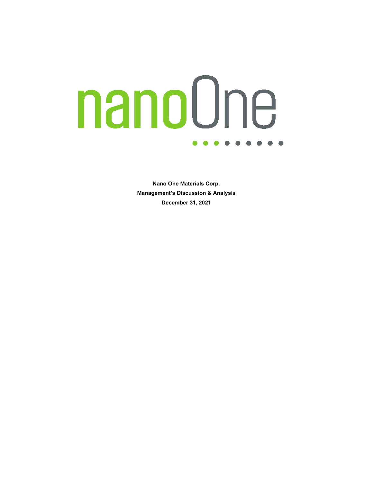### nanoOne  $\bullet$  $\bullet$  $\bullet$  $\bullet$

**Nano One Materials Corp. Management's Discussion & Analysis December 31, 2021**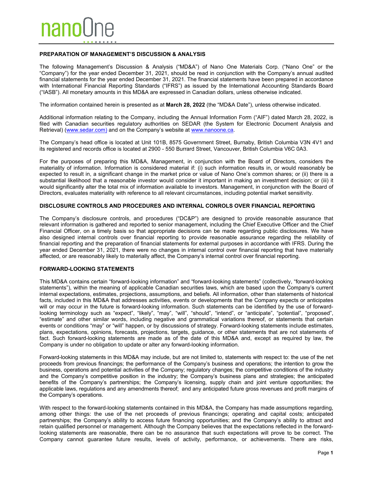#### **PREPARATION OF MANAGEMENT'S DISCUSSION & ANALYSIS**

The following Management's Discussion & Analysis ("MD&A") of Nano One Materials Corp. ("Nano One" or the "Company") for the year ended December 31, 2021, should be read in conjunction with the Company's annual audited financial statements for the year ended December 31, 2021. The financial statements have been prepared in accordance with International Financial Reporting Standards ("IFRS") as issued by the International Accounting Standards Board ("IASB"). All monetary amounts in this MD&A are expressed in Canadian dollars, unless otherwise indicated.

The information contained herein is presented as at **March 28, 2022** (the "MD&A Date"), unless otherwise indicated.

Additional information relating to the Company, including the Annual Information Form ("AIF") dated March 28, 2022, is filed with Canadian securities regulatory authorities on SEDAR (the System for Electronic Document Analysis and Retrieval) [\(www.sedar.com\)](http://www.sedar.com/) and on the Company's website at [www.nanoone.ca.](http://www.nanoone.ca/)

The Company's head office is located at Unit 101B, 8575 Government Street, Burnaby, British Columbia V3N 4V1 and its registered and records office is located at 2900 - 550 Burrard Street, Vancouver, British Columbia V6C 0A3.

For the purposes of preparing this MD&A, Management, in conjunction with the Board of Directors, considers the materiality of information. Information is considered material if: (i) such information results in, or would reasonably be expected to result in, a significant change in the market price or value of Nano One's common shares; or (ii) there is a substantial likelihood that a reasonable investor would consider it important in making an investment decision; or (iii) it would significantly alter the total mix of information available to investors. Management, in conjunction with the Board of Directors, evaluates materiality with reference to all relevant circumstances, including potential market sensitivity.

#### **DISCLOSURE CONTROLS AND PROCEDURES AND INTERNAL CONROLS OVER FINANCIAL REPORTING**

The Company's disclosure controls, and procedures ("DC&P") are designed to provide reasonable assurance that relevant information is gathered and reported to senior management, including the Chief Executive Officer and the Chief Financial Officer, on a timely basis so that appropriate decisions can be made regarding public disclosures. We have also designed internal controls over financial reporting to provide reasonable assurance regarding the reliability of financial reporting and the preparation of financial statements for external purposes in accordance with IFRS. During the year ended December 31, 2021, there were no changes in internal control over financial reporting that have materially affected, or are reasonably likely to materially affect, the Company's internal control over financial reporting.

#### **FORWARD-LOOKING STATEMENTS**

This MD&A contains certain "forward-looking information" and "forward-looking statements" (collectively, "forward-looking statements"), within the meaning of applicable Canadian securities laws, which are based upon the Company's current internal expectations, estimates, projections, assumptions, and beliefs. All information, other than statements of historical facts, included in this MD&A that addresses activities, events or developments that the Company expects or anticipates will or may occur in the future is forward-looking information. Such statements can be identified by the use of forwardlooking terminology such as "expect", "likely", "may", "will", "should", "intend", or "anticipate", "potential", "proposed", "estimate" and other similar words, including negative and grammatical variations thereof, or statements that certain events or conditions "may" or "will" happen, or by discussions of strategy. Forward-looking statements include estimates, plans, expectations, opinions, forecasts, projections, targets, guidance, or other statements that are not statements of fact. Such forward-looking statements are made as of the date of this MD&A and, except as required by law, the Company is under no obligation to update or alter any forward-looking information.

Forward-looking statements in this MD&A may include, but are not limited to, statements with respect to: the use of the net proceeds from previous financings; the performance of the Company's business and operations; the intention to grow the business, operations and potential activities of the Company; regulatory changes; the competitive conditions of the industry and the Company's competitive position in the industry; the Company's business plans and strategies; the anticipated benefits of the Company's partnerships; the Company's licensing, supply chain and joint venture opportunities; the applicable laws, regulations and any amendments thereof; and any anticipated future gross revenues and profit margins of the Company's operations.

With respect to the forward-looking statements contained in this MD&A, the Company has made assumptions regarding, among other things: the use of the net proceeds of previous financings; operating and capital costs; anticipated partnerships; the Company's ability to access future financing opportunities; and the Company's ability to attract and retain qualified personnel or management. Although the Company believes that the expectations reflected in the forwardlooking statements are reasonable, there can be no assurance that such expectations will prove to be correct. The Company cannot guarantee future results, levels of activity, performance, or achievements. There are risks,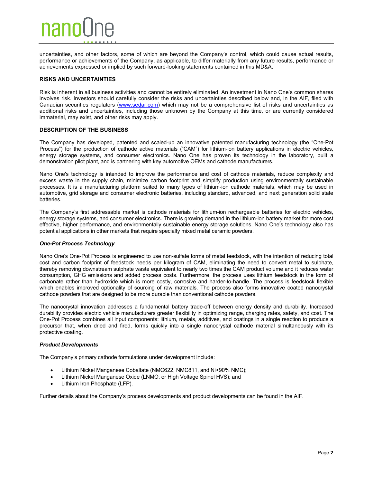# nanr

uncertainties, and other factors, some of which are beyond the Company's control, which could cause actual results, performance or achievements of the Company, as applicable, to differ materially from any future results, performance or achievements expressed or implied by such forward-looking statements contained in this MD&A.

#### **RISKS AND UNCERTAINTIES**

Risk is inherent in all business activities and cannot be entirely eliminated. An investment in Nano One's common shares involves risk. Investors should carefully consider the risks and uncertainties described below and, in the AIF, filed with Canadian securities regulators [\(www.sedar.com\)](http://www.sedar.com/) which may not be a comprehensive list of risks and uncertainties as additional risks and uncertainties, including those unknown by the Company at this time, or are currently considered immaterial, may exist, and other risks may apply.

#### **DESCRIPTION OF THE BUSINESS**

The Company has developed, patented and scaled-up an innovative patented manufacturing technology (the "One-Pot Process") for the production of cathode active materials ("CAM") for lithium-ion battery applications in electric vehicles, energy storage systems, and consumer electronics. Nano One has proven its technology in the laboratory, built a demonstration pilot plant, and is partnering with key automotive OEMs and cathode manufacturers.

Nano One's technology is intended to improve the performance and cost of cathode materials, reduce complexity and excess waste in the supply chain, minimize carbon footprint and simplify production using environmentally sustainable processes. It is a manufacturing platform suited to many types of lithium-ion cathode materials, which may be used in automotive, grid storage and consumer electronic batteries, including standard, advanced, and next generation solid state batteries.

The Company's first addressable market is cathode materials for lithium-ion rechargeable batteries for electric vehicles, energy storage systems, and consumer electronics. There is growing demand in the lithium-ion battery market for more cost effective, higher performance, and environmentally sustainable energy storage solutions. Nano One's technology also has potential applications in other markets that require specialty mixed metal ceramic powders.

#### *One-Pot Process Technology*

Nano One's One-Pot Process is engineered to use non-sulfate forms of metal feedstock, with the intention of reducing total cost and carbon footprint of feedstock needs per kilogram of CAM, eliminating the need to convert metal to sulphate, thereby removing downstream sulphate waste equivalent to nearly two times the CAM product volume and it reduces water consumption, GHG emissions and added process costs. Furthermore, the process uses lithium feedstock in the form of carbonate rather than hydroxide which is more costly, corrosive and harder-to-handle. The process is feedstock flexible which enables improved optionality of sourcing of raw materials. The process also forms innovative coated nanocrystal cathode powders that are designed to be more durable than conventional cathode powders.

The nanocrystal innovation addresses a fundamental battery trade-off between energy density and durability. Increased durability provides electric vehicle manufacturers greater flexibility in optimizing range, charging rates, safety, and cost. The One-Pot Process combines all input components: lithium, metals, additives, and coatings in a single reaction to produce a precursor that, when dried and fired, forms quickly into a single nanocrystal cathode material simultaneously with its protective coating.

#### *Product Developments*

The Company's primary cathode formulations under development include:

- Lithium Nickel Manganese Cobaltate (NMC622, NMC811, and Ni>90% NMC);
- Lithium Nickel Manganese Oxide (LNMO, or High Voltage Spinel HVS); and
- Lithium Iron Phosphate (LFP).

Further details about the Company's process developments and product developments can be found in the AIF.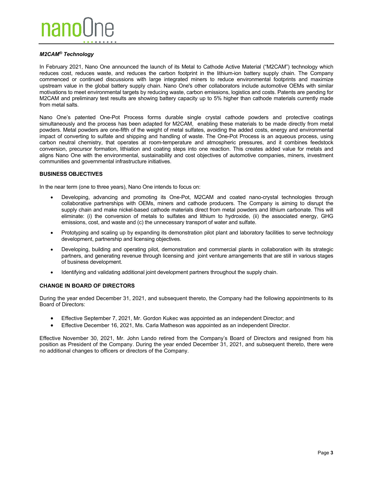## nar

#### *M2CAM® Technology*

In February 2021, Nano One announced the launch of its Metal to Cathode Active Material ("M2CAM") technology which reduces cost, reduces waste, and reduces the carbon footprint in the lithium-ion battery supply chain. The Company commenced or continued discussions with large integrated miners to reduce environmental footprints and maximize upstream value in the global battery supply chain. Nano One's other collaborators include automotive OEMs with similar motivations to meet environmental targets by reducing waste, carbon emissions, logistics and costs. Patents are pending for M2CAM and preliminary test results are showing battery capacity up to 5% higher than cathode materials currently made from metal salts.

Nano One's patented One-Pot Process forms durable single crystal cathode powders and protective coatings simultaneously and the process has been adapted for M2CAM, enabling these materials to be made directly from metal powders. Metal powders are one-fifth of the weight of metal sulfates, avoiding the added costs, energy and environmental impact of converting to sulfate and shipping and handling of waste. The One-Pot Process is an aqueous process, using carbon neutral chemistry, that operates at room-temperature and atmospheric pressures, and it combines feedstock conversion, precursor formation, lithiation and coating steps into one reaction. This creates added value for metals and aligns Nano One with the environmental, sustainability and cost objectives of automotive companies, miners, investment communities and governmental infrastructure initiatives.

#### **BUSINESS OBJECTIVES**

In the near term (one to three years), Nano One intends to focus on:

- Developing, advancing and promoting its One-Pot, M2CAM and coated nano-crystal technologies through collaborative partnerships with OEMs, miners and cathode producers. The Company is aiming to disrupt the supply chain and make nickel-based cathode materials direct from metal powders and lithium carbonate. This will eliminate: (i) the conversion of metals to sulfates and lithium to hydroxide, (ii) the associated energy, GHG emissions, cost, and waste and (c) the unnecessary transport of water and sulfate.
- Prototyping and scaling up by expanding its demonstration pilot plant and laboratory facilities to serve technology development, partnership and licensing objectives.
- Developing, building and operating pilot, demonstration and commercial plants in collaboration with its strategic partners, and generating revenue through licensing and joint venture arrangements that are still in various stages of business development.
- Identifying and validating additional joint development partners throughout the supply chain.

#### **CHANGE IN BOARD OF DIRECTORS**

During the year ended December 31, 2021, and subsequent thereto, the Company had the following appointments to its Board of Directors:

- Effective September 7, 2021, Mr. Gordon Kukec was appointed as an independent Director; and
- Effective December 16, 2021, Ms. Carla Matheson was appointed as an independent Director.

Effective November 30, 2021, Mr. John Lando retired from the Company's Board of Directors and resigned from his position as President of the Company. During the year ended December 31, 2021, and subsequent thereto, there were no additional changes to officers or directors of the Company.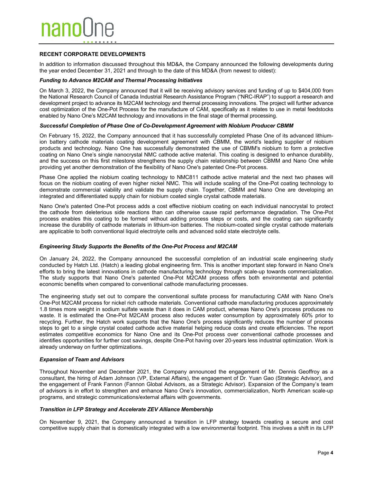#### **RECENT CORPORATE DEVELOPMENTS**

In addition to information discussed throughout this MD&A, the Company announced the following developments during the year ended December 31, 2021 and through to the date of this MD&A (from newest to oldest):

#### *Funding to Advance M2CAM and Thermal Processing Initiatives*

On March 3, 2022, the Company announced that it will be receiving advisory services and funding of up to \$404,000 from the National Research Council of Canada Industrial Research Assistance Program ("NRC-IRAP") to support a research and development project to advance its M2CAM technology and thermal processing innovations. The project will further advance cost optimization of the One-Pot Process for the manufacture of CAM, specifically as it relates to use in metal feedstocks enabled by Nano One's M2CAM technology and innovations in the final stage of thermal processing.

#### *Successful Completion of Phase One of Co-Development Agreement with Niobium Producer CBMM*

On February 15, 2022, the Company announced that it has successfully completed Phase One of its advanced lithiumion battery cathode materials coating development agreement with CBMM, the world's leading supplier of niobium products and technology. Nano One has successfully demonstrated the use of CBMM's niobium to form a protective coating on Nano One's single nanocrystal NMC cathode active material. This coating is designed to enhance durability, and the success on this first milestone strengthens the supply chain relationship between CBMM and Nano One while providing yet another demonstration of the flexibility of Nano One's patented One-Pot process.

Phase One applied the niobium coating technology to NMC811 cathode active material and the next two phases will focus on the niobium coating of even higher nickel NMC. This will include scaling of the One-Pot coating technology to demonstrate commercial viability and validate the supply chain. Together, CBMM and Nano One are developing an integrated and differentiated supply chain for niobium coated single crystal cathode materials.

Nano One's patented One-Pot process adds a cost effective niobium coating on each individual nanocrystal to protect the cathode from deleterious side reactions than can otherwise cause rapid performance degradation. The One-Pot process enables this coating to be formed without adding process steps or costs, and the coating can significantly increase the durability of cathode materials in lithium-ion batteries. The niobium-coated single crystal cathode materials are applicable to both conventional liquid electrolyte cells and advanced solid state electrolyte cells.

#### *Engineering Study Supports the Benefits of the One-Pot Process and M2CAM*

On January 24, 2022, the Company announced the successful completion of an industrial scale engineering study conducted by Hatch Ltd. (Hatch) a leading global engineering firm. This is another important step forward in Nano One's efforts to bring the latest innovations in cathode manufacturing technology through scale-up towards commercialization. The study supports that Nano One's patented One-Pot M2CAM process offers both environmental and potential economic benefits when compared to conventional cathode manufacturing processes.

The engineering study set out to compare the conventional sulfate process for manufacturing CAM with Nano One's One-Pot M2CAM process for nickel rich cathode materials. Conventional cathode manufacturing produces approximately 1.8 times more weight in sodium sulfate waste than it does in CAM product, whereas Nano One's process produces no waste. It is estimated the One-Pot M2CAM process also reduces water consumption by approximately 60% prior to recycling. Further, the Hatch work supports that the Nano One's process significantly reduces the number of process steps to get to a single crystal coated cathode active material helping reduce costs and create efficiencies. The report estimates competitive economics for Nano One and its One-Pot process over conventional cathode processes and identifies opportunities for further cost savings, despite One-Pot having over 20-years less industrial optimization. Work is already underway on further optimizations.

#### *Expansion of Team and Advisors*

Throughout November and December 2021, the Company announced the engagement of Mr. Dennis Geoffroy as a consultant, the hiring of Adam Johnson (VP, External Affairs), the engagement of Dr. Yuan Gao (Strategic Advisor), and the engagement of Frank Fannon (Fannon Global Advisors, as a Strategic Advisor). Expansion of the Company's team of advisors is in effort to strengthen and enhance Nano One's innovation, commercialization, North American scale-up programs, and strategic communications/external affairs with governments.

#### *Transition in LFP Strategy and Accelerate ZEV Alliance Membership*

On November 9, 2021, the Company announced a transition in LFP strategy towards creating a secure and cost competitive supply chain that is domestically integrated with a low environmental footprint. This involves a shift in its LFP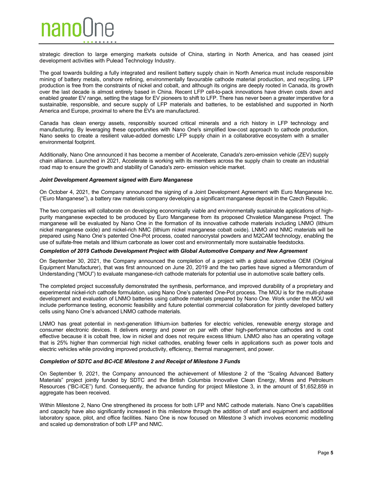# nann

strategic direction to large emerging markets outside of China, starting in North America, and has ceased joint development activities with Pulead Technology Industry.

The goal towards building a fully integrated and resilient battery supply chain in North America must include responsible mining of battery metals, onshore refining, environmentally favourable cathode material production, and recycling. LFP production is free from the constraints of nickel and cobalt, and although its origins are deeply rooted in Canada, its growth over the last decade is almost entirely based in China. Recent LFP cell-to-pack innovations have driven costs down and enabled greater EV range, setting the stage for EV pioneers to shift to LFP. There has never been a greater imperative for a sustainable, responsible, and secure supply of LFP materials and batteries, to be established and supported in North America and Europe, proximal to where the EV's are manufactured.

Canada has clean energy assets, responsibly sourced critical minerals and a rich history in LFP technology and manufacturing. By leveraging these opportunities with Nano One's simplified low-cost approach to cathode production, Nano seeks to create a resilient value-added domestic LFP supply chain in a collaborative ecosystem with a smaller environmental footprint.

Additionally, Nano One announced it has become a member of Accelerate, Canada's zero-emission vehicle (ZEV) supply chain alliance. Launched in 2021, Accelerate is working with its members across the supply chain to create an industrial road map to ensure the growth and stability of Canada's zero- emission vehicle market.

#### *Joint Development Agreement signed with Euro Manganese*

On October 4, 2021, the Company announced the signing of a Joint Development Agreement with Euro Manganese Inc. ("Euro Manganese"), a battery raw materials company developing a significant manganese deposit in the Czech Republic.

The two companies will collaborate on developing economically viable and environmentally sustainable applications of highpurity manganese expected to be produced by Euro Manganese from its proposed Chvaletice Manganese Project. The manganese will be evaluated by Nano One in the formation of its innovative cathode materials including LNMO (lithium nickel manganese oxide) and nickel-rich NMC (lithium nickel manganese cobalt oxide). LNMO and NMC materials will be prepared using Nano One's patented One-Pot process, coated nanocrystal powders and M2CAM technology, enabling the use of sulfate-free metals and lithium carbonate as lower cost and environmentally more sustainable feedstocks.

#### *Completion of 2019 Cathode Development Project with Global Automotive Company and New Agreement*

On September 30, 2021, the Company announced the completion of a project with a global automotive OEM (Original Equipment Manufacturer), that was first announced on June 20, 2019 and the two parties have signed a Memorandum of Understanding ("MOU") to evaluate manganese-rich cathode materials for potential use in automotive scale battery cells.

The completed project successfully demonstrated the synthesis, performance, and improved durability of a proprietary and experimental nickel-rich cathode formulation, using Nano One's patented One-Pot process. The MOU is for the multi-phase development and evaluation of LNMO batteries using cathode materials prepared by Nano One. Work under the MOU will include performance testing, economic feasibility and future potential commercial collaboration for jointly developed battery cells using Nano One's advanced LNMO cathode materials.

LNMO has great potential in next-generation lithium-ion batteries for electric vehicles, renewable energy storage and consumer electronic devices. It delivers energy and power on par with other high-performance cathodes and is cost effective because it is cobalt free, low in nickel and does not require excess lithium. LNMO also has an operating voltage that is 25% higher than commercial high nickel cathodes, enabling fewer cells in applications such as power tools and electric vehicles while providing improved productivity, efficiency, thermal management, and power.

#### *Completion of SDTC and BC-ICE Milestone 2 and Receipt of Milestone 3 Funds*

On September 9, 2021, the Company announced the achievement of Milestone 2 of the "Scaling Advanced Battery Materials" project jointly funded by SDTC and the British Columbia Innovative Clean Energy, Mines and Petroleum Resources ("BC-ICE") fund. Consequently, the advance funding for project Milestone 3, in the amount of \$1,652,859 in aggregate has been received.

Within Milestone 2, Nano One strengthened its process for both LFP and NMC cathode materials. Nano One's capabilities and capacity have also significantly increased in this milestone through the addition of staff and equipment and additional laboratory space, pilot, and office facilities. Nano One is now focused on Milestone 3 which involves economic modelling and scaled up demonstration of both LFP and NMC.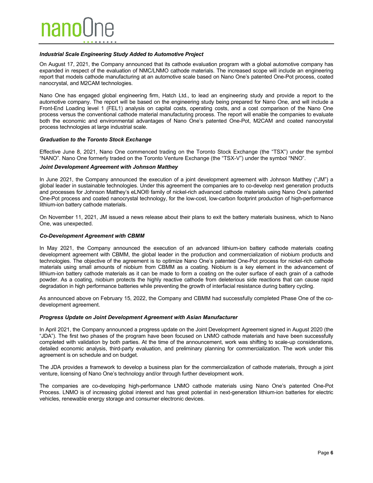#### *Industrial Scale Engineering Study Added to Automotive Project*

On August 17, 2021, the Company announced that its cathode evaluation program with a global automotive company has expanded in respect of the evaluation of NMC/LNMO cathode materials. The increased scope will include an engineering report that models cathode manufacturing at an automotive scale based on Nano One's patented One-Pot process, coated nanocrystal, and M2CAM technologies.

Nano One has engaged global engineering firm, Hatch Ltd., to lead an engineering study and provide a report to the automotive company. The report will be based on the engineering study being prepared for Nano One, and will include a Front-End Loading level 1 (FEL1) analysis on capital costs, operating costs, and a cost comparison of the Nano One process versus the conventional cathode material manufacturing process. The report will enable the companies to evaluate both the economic and environmental advantages of Nano One's patented One-Pot, M2CAM and coated nanocrystal process technologies at large industrial scale.

#### *Graduation to the Toronto Stock Exchange*

Effective June 8, 2021, Nano One commenced trading on the Toronto Stock Exchange (the "TSX") under the symbol "NANO". Nano One formerly traded on the Toronto Venture Exchange (the "TSX-V") under the symbol "NNO".

#### *Joint Development Agreement with Johnson Matthey*

In June 2021, the Company announced the execution of a joint development agreement with Johnson Matthey ("JM") a global leader in sustainable technologies. Under this agreement the companies are to co-develop next generation products and processes for Johnson Matthey's eLNO® family of nickel-rich advanced cathode materials using Nano One's patented One-Pot process and coated nanocrystal technology, for the low-cost, low-carbon footprint production of high-performance lithium-ion battery cathode materials.

On November 11, 2021, JM issued a news release about their plans to exit the battery materials business, which to Nano One, was unexpected.

#### *Co-Development Agreement with CBMM*

In May 2021, the Company announced the execution of an advanced lithium-ion battery cathode materials coating development agreement with CBMM, the global leader in the production and commercialization of niobium products and technologies. The objective of the agreement is to optimize Nano One's patented One-Pot process for nickel-rich cathode materials using small amounts of niobium from CBMM as a coating. Niobium is a key element in the advancement of lithium-ion battery cathode materials as it can be made to form a coating on the outer surface of each grain of a cathode powder. As a coating, niobium protects the highly reactive cathode from deleterious side reactions that can cause rapid degradation in high performance batteries while preventing the growth of interfacial resistance during battery cycling.

As announced above on February 15, 2022, the Company and CBMM had successfully completed Phase One of the codevelopment agreement.

#### *Progress Update on Joint Development Agreement with Asian Manufacturer*

In April 2021, the Company announced a progress update on the Joint Development Agreement signed in August 2020 (the "JDA"). The first two phases of the program have been focused on LNMO cathode materials and have been successfully completed with validation by both parties. At the time of the announcement, work was shifting to scale-up considerations, detailed economic analysis, third-party evaluation, and preliminary planning for commercialization. The work under this agreement is on schedule and on budget.

The JDA provides a framework to develop a business plan for the commercialization of cathode materials, through a joint venture, licensing of Nano One's technology and/or through further development work.

The companies are co-developing high-performance LNMO cathode materials using Nano One's patented One-Pot Process. LNMO is of increasing global interest and has great potential in next-generation lithium-ion batteries for electric vehicles, renewable energy storage and consumer electronic devices.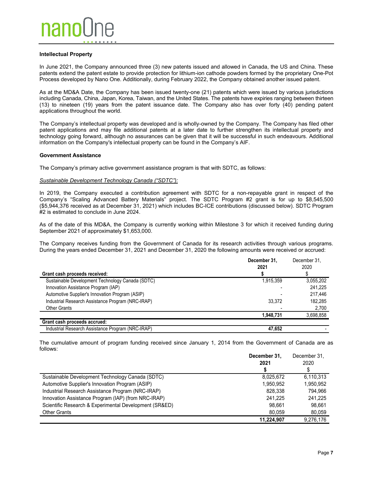#### **Intellectual Property**

In June 2021, the Company announced three (3) new patents issued and allowed in Canada, the US and China. These patents extend the patent estate to provide protection for lithium-ion cathode powders formed by the proprietary One-Pot Process developed by Nano One. Additionally, during February 2022, the Company obtained another issued patent.

As at the MD&A Date, the Company has been issued twenty-one (21) patents which were issued by various jurisdictions including Canada, China, Japan, Korea, Taiwan, and the United States. The patents have expiries ranging between thirteen (13) to nineteen (19) years from the patent issuance date. The Company also has over forty (40) pending patent applications throughout the world.

The Company's intellectual property was developed and is wholly-owned by the Company. The Company has filed other patent applications and may file additional patents at a later date to further strengthen its intellectual property and technology going forward, although no assurances can be given that it will be successful in such endeavours. Additional information on the Company's intellectual property can be found in the Company's AIF.

#### **Government Assistance**

The Company's primary active government assistance program is that with SDTC, as follows:

#### *Sustainable Development Technology Canada ("SDTC"):*

In 2019, the Company executed a contribution agreement with SDTC for a non-repayable grant in respect of the Company's "Scaling Advanced Battery Materials" project. The SDTC Program #2 grant is for up to \$8,545,500 (\$5,944,376 received as at December 31, 2021) which includes BC-ICE contributions (discussed below). SDTC Program #2 is estimated to conclude in June 2024.

As of the date of this MD&A, the Company is currently working within Milestone 3 for which it received funding during September 2021 of approximately \$1,653,000.

The Company receives funding from the Government of Canada for its research activities through various programs. During the years ended December 31, 2021 and December 31, 2020 the following amounts were received or accrued:

|                                                   | December 31. | December 31. |
|---------------------------------------------------|--------------|--------------|
| Grant cash proceeds received:                     | 2021         | 2020         |
| Sustainable Development Technology Canada (SDTC)  | 1,915,359    | 3,055,202    |
| Innovation Assistance Program (IAP)               |              | 241.225      |
| Automotive Supplier's Innovation Program (ASIP)   |              | 217.446      |
| Industrial Research Assistance Program (NRC-IRAP) | 33.372       | 182,285      |
| <b>Other Grants</b>                               |              | 2,700        |
|                                                   | 1.948.731    | 3,698,858    |
| Grant cash proceeds accrued:                      |              |              |
| Industrial Research Assistance Program (NRC-IRAP) | 47.652       |              |

The cumulative amount of program funding received since January 1, 2014 from the Government of Canada are as follows:

|                                                        | December 31. | December 31. |
|--------------------------------------------------------|--------------|--------------|
|                                                        | 2021         | 2020         |
|                                                        |              |              |
| Sustainable Development Technology Canada (SDTC)       | 8,025,672    | 6,110,313    |
| Automotive Supplier's Innovation Program (ASIP)        | 1,950,952    | 1,950,952    |
| Industrial Research Assistance Program (NRC-IRAP)      | 828.338      | 794.966      |
| Innovation Assistance Program (IAP) (from NRC-IRAP)    | 241.225      | 241.225      |
| Scientific Research & Experimental Development (SR&ED) | 98.661       | 98.661       |
| <b>Other Grants</b>                                    | 80.059       | 80,059       |
|                                                        | 11.224.907   | 9.276.176    |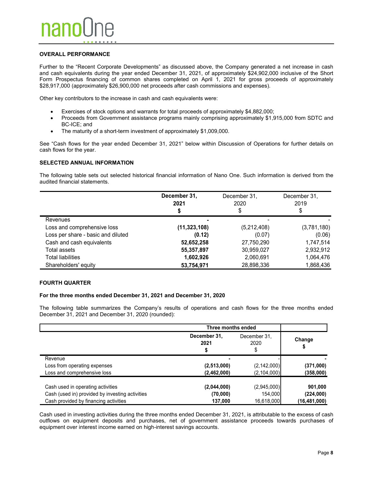#### **OVERALL PERFORMANCE**

Further to the "Recent Corporate Developments" as discussed above, the Company generated a net increase in cash and cash equivalents during the year ended December 31, 2021, of approximately \$24,902,000 inclusive of the Short Form Prospectus financing of common shares completed on April 1, 2021 for gross proceeds of approximately \$28,917,000 (approximately \$26,900,000 net proceeds after cash commissions and expenses).

Other key contributors to the increase in cash and cash equivalents were:

- Exercises of stock options and warrants for total proceeds of approximately \$4,882,000;
- Proceeds from Government assistance programs mainly comprising approximately \$1,915,000 from SDTC and BC-ICE; and
- The maturity of a short-term investment of approximately \$1,009,000.

See "Cash flows for the year ended December 31, 2021" below within Discussion of Operations for further details on cash flows for the year.

#### **SELECTED ANNUAL INFORMATION**

The following table sets out selected historical financial information of Nano One. Such information is derived from the audited financial statements.

|                                    | December 31,<br>2021 | December 31,<br>2020<br>\$ | December 31,<br>2019<br>\$ |
|------------------------------------|----------------------|----------------------------|----------------------------|
| Revenues                           |                      |                            |                            |
| Loss and comprehensive loss        | (11, 323, 108)       | (5,212,408)                | (3,781,180)                |
| Loss per share - basic and diluted | (0.12)               | (0.07)                     | (0.06)                     |
| Cash and cash equivalents          | 52,652,258           | 27,750,290                 | 1,747,514                  |
| Total assets                       | 55,357,897           | 30,959,027                 | 2,932,912                  |
| <b>Total liabilities</b>           | 1,602,926            | 2,060,691                  | 1,064,476                  |
| Shareholders' equity               | 53,754,971           | 28,898,336                 | 1,868,436                  |

#### **FOURTH QUARTER**

#### **For the three months ended December 31, 2021 and December 31, 2020**

The following table summarizes the Company's results of operations and cash flows for the three months ended December 31, 2021 and December 31, 2020 (rounded):

|                                                 | Three months ended   |                            |              |
|-------------------------------------------------|----------------------|----------------------------|--------------|
|                                                 | December 31,<br>2021 | December 31.<br>2020<br>\$ | Change       |
| Revenue                                         |                      |                            |              |
| Loss from operating expenses                    | (2,513,000)          | (2, 142, 000)              | (371,000)    |
| Loss and comprehensive loss                     | (2,462,000)          | (2, 104, 000)              | (358,000)    |
| Cash used in operating activities               | (2,044,000)          | (2,945,000)                | 901,000      |
| Cash (used in) provided by investing activities | (70,000)             | 154.000                    | (224,000)    |
| Cash provided by financing activities           | 137,000              | 16,618,000                 | (16,481,000) |

Cash used in investing activities during the three months ended December 31, 2021, is attributable to the excess of cash outflows on equipment deposits and purchases, net of government assistance proceeds towards purchases of equipment over interest income earned on high-interest savings accounts.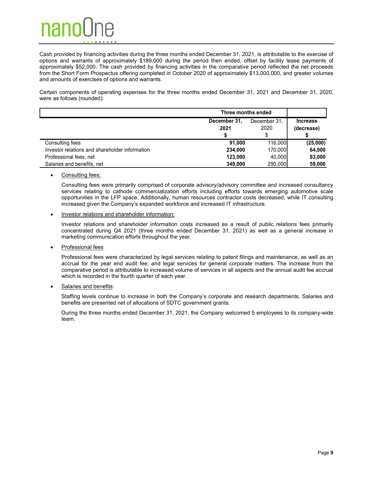Cash provided by financing activities during the three months ended December 31, 2021, is attributable to the exercise of options and warrants of approximately \$189,000 during the period then ended, offset by facility lease payments of approximately \$52,000. The cash provided by financing activities in the comparative period reflected the net proceeds from the Short Form Prospectus offering completed in October 2020 of approximately \$13,000,000, and greater volumes and amounts of exercises of options and warrants.

Certain components of operating expenses for the three months ended December 31, 2021 and December 31, 2020, were as follows (rounded):

|                                                | Three months ended |              |                 |
|------------------------------------------------|--------------------|--------------|-----------------|
|                                                | December 31,       | December 31. | <b>Increase</b> |
|                                                | 2021               | 2020         | (decrease)      |
|                                                |                    |              |                 |
| Consulting fees                                | 91,000             | 116,000      | (25,000)        |
| Investor relations and shareholder information | 234,000            | 170,000      | 64,000          |
| Professional fees, net                         | 123,000            | 40,000       | 83,000          |
| Salaries and benefits, net                     | 349,000            | 290,000      | 59,000          |

Consulting fees:

Consulting fees were primarily comprised of corporate advisory/advisory committee and increased consultancy services relating to cathode commercialization efforts including efforts towards emerging automotive scale opportunities in the LFP space. Additionally, human resources contractor costs decreased, while IT consulting increased given the Company's expanded workforce and increased IT infrastructure.

• Investor relations and shareholder information:

Investor relations and shareholder information costs increased as a result of public relations fees primarily concentrated during Q4 2021 (three months ended December 31, 2021) as well as a general increase in marketing communication efforts throughout the year.

• Professional fees

Professional fees were characterized by legal services relating to patent filings and maintenance, as well as an accrual for the year end audit fee, and legal services for general corporate matters. The increase from the comparative period is attributable to increased volume of services in all aspects and the annual audit fee accrual which is recorded in the fourth quarter of each year.

Salaries and benefits:

Staffing levels continue to increase in both the Company's corporate and research departments. Salaries and benefits are presented net of allocations of SDTC government grants.

During the three months ended December 31, 2021, the Company welcomed 5 employees to its company-wide team.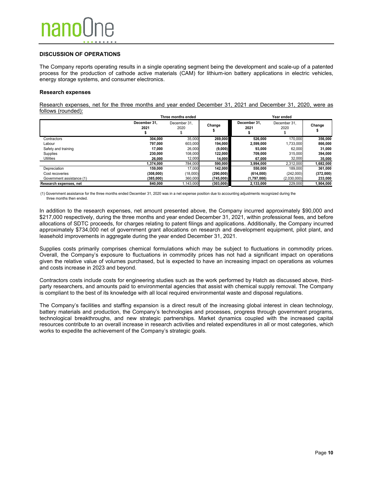#### **DISCUSSION OF OPERATIONS**

The Company reports operating results in a single operating segment being the development and scale-up of a patented process for the production of cathode active materials (CAM) for lithium-ion battery applications in electric vehicles, energy storage systems, and consumer electronics.

#### **Research expenses**

Research expenses, net for the three months and year ended December 31, 2021 and December 31, 2020, were as follows (rounded):

|                           | Three months ended   |                      | Year ended |                      |                      |           |
|---------------------------|----------------------|----------------------|------------|----------------------|----------------------|-----------|
|                           | December 31.<br>2021 | December 31.<br>2020 | Change     | December 31.<br>2021 | December 31.<br>2020 | Change    |
| Contractors               | 304.000              | 35,000               | 269,000    | 526.000              | 170,000              | 356,000   |
| Labour                    | 797.000              | 603,000              | 194.000    | 2.599.000            | 1,733,000            | 866,000   |
| Safety and training       | 17.000               | 26,000               | (9,000)    | 93.000               | 62,000               | 31,000    |
| Supplies                  | 230.000              | 108,000              | 122.000    | 709.000              | 315,000              | 394,000   |
| <b>Utilities</b>          | 26.000               | 12,000               | 14,000     | 67.000               | 32,000               | 35,000    |
|                           | 1.374.000            | 784,000              | 590.000    | 3.994.000            | 2,312,000            | 1,682,000 |
| Depreciation              | 159.000              | 17,000               | 142.000    | 550.000              | 189,000              | 361.000   |
| Cost recoveries           | (308.000)            | (18,000)             | (290,000)  | (614,000)            | (242,000)            | (372,000) |
| Government assistance (1) | (385.000)            | 360,000              | (745,000)  | (1,797,000)          | (2,030,000)          | 233,000   |
| Research expenses, net    | 840.000              | 1,143,000            | (303,000)  | 2.133.000            | 229,000              | 1.904.000 |

(1) Government assistance for the three months ended December 31, 2020 was in a net expense position due to accounting adjustments recognized during the three months then ended.

In addition to the research expenses, net amount presented above, the Company incurred approximately \$90,000 and \$217,000 respectively, during the three months and year ended December 31, 2021, within professional fees, and before allocations of SDTC proceeds, for charges relating to patent filings and applications. Additionally, the Company incurred approximately \$734,000 net of government grant allocations on research and development equipment, pilot plant, and leasehold improvements in aggregate during the year ended December 31, 2021.

Supplies costs primarily comprises chemical formulations which may be subject to fluctuations in commodity prices. Overall, the Company's exposure to fluctuations in commodity prices has not had a significant impact on operations given the relative value of volumes purchased, but is expected to have an increasing impact on operations as volumes and costs increase in 2023 and beyond.

Contractors costs include costs for engineering studies such as the work performed by Hatch as discussed above, thirdparty researchers, and amounts paid to environmental agencies that assist with chemical supply removal. The Company is compliant to the best of its knowledge with all local required environmental waste and disposal regulations.

The Company's facilities and staffing expansion is a direct result of the increasing global interest in clean technology, battery materials and production, the Company's technologies and processes, progress through government programs, technological breakthroughs, and new strategic partnerships. Market dynamics coupled with the increased capital resources contribute to an overall increase in research activities and related expenditures in all or most categories, which works to expedite the achievement of the Company's strategic goals.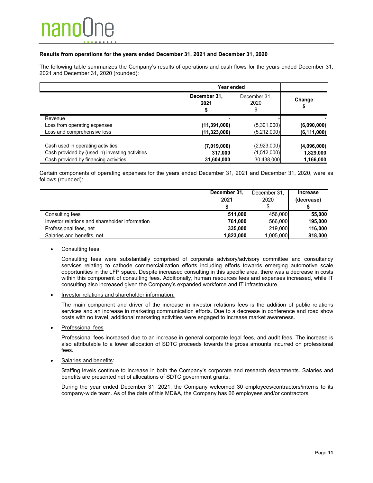# nar

#### **Results from operations for the years ended December 31, 2021 and December 31, 2020**

The following table summarizes the Company's results of operations and cash flows for the years ended December 31, 2021 and December 31, 2020 (rounded):

|                                                 | Year ended           |                            |               |
|-------------------------------------------------|----------------------|----------------------------|---------------|
|                                                 | December 31,<br>2021 | December 31.<br>2020<br>\$ | Change        |
| Revenue                                         |                      |                            |               |
| Loss from operating expenses                    | (11, 391, 000)       | (5,301,000)                | (6,090,000)   |
| Loss and comprehensive loss                     | (11, 323, 000)       | (5,212,000)                | (6, 111, 000) |
| Cash used in operating activities               | (7,019,000)          | (2,923,000)                | (4,096,000)   |
| Cash provided by (used in) investing activities | 317,000              | (1,512,000)                | 1,829,000     |
| Cash provided by financing activities           | 31,604,000           | 30,438,000                 | 1,166,000     |

Certain components of operating expenses for the years ended December 31, 2021 and December 31, 2020, were as follows (rounded):

|                                                | December 31,<br>2021 | December 31.<br>2020 | <b>Increase</b><br>(decrease) |
|------------------------------------------------|----------------------|----------------------|-------------------------------|
| Consulting fees                                | 511.000              | 456,000              | 55,000                        |
| Investor relations and shareholder information | 761.000              | 566,000              | 195.000                       |
| Professional fees, net                         | 335.000              | 219,000              | 116,000                       |
| Salaries and benefits, net                     | 1.823.000            | 1,005,000            | 818,000                       |

Consulting fees:

Consulting fees were substantially comprised of corporate advisory/advisory committee and consultancy services relating to cathode commercialization efforts including efforts towards emerging automotive scale opportunities in the LFP space. Despite increased consulting in this specific area, there was a decrease in costs within this component of consulting fees. Additionally, human resources fees and expenses increased, while IT consulting also increased given the Company's expanded workforce and IT infrastructure.

Investor relations and shareholder information:

The main component and driver of the increase in investor relations fees is the addition of public relations services and an increase in marketing communication efforts. Due to a decrease in conference and road show costs with no travel, additional marketing activities were engaged to increase market awareness.

• Professional fees

Professional fees increased due to an increase in general corporate legal fees, and audit fees. The increase is also attributable to a lower allocation of SDTC proceeds towards the gross amounts incurred on professional fees.

Salaries and benefits:

Staffing levels continue to increase in both the Company's corporate and research departments. Salaries and benefits are presented net of allocations of SDTC government grants.

During the year ended December 31, 2021, the Company welcomed 30 employees/contractors/interns to its company-wide team. As of the date of this MD&A, the Company has 66 employees and/or contractors.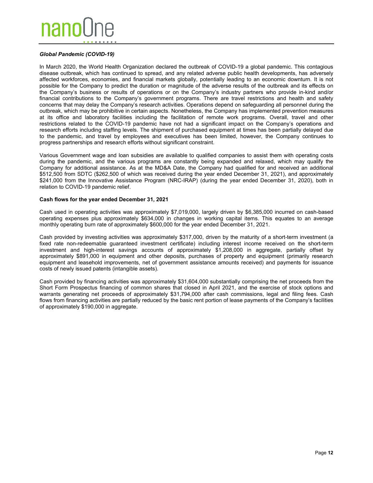#### *Global Pandemic (COVID-19)*

In March 2020, the World Health Organization declared the outbreak of COVID-19 a global pandemic. This contagious disease outbreak, which has continued to spread, and any related adverse public health developments, has adversely affected workforces, economies, and financial markets globally, potentially leading to an economic downturn. It is not possible for the Company to predict the duration or magnitude of the adverse results of the outbreak and its effects on the Company's business or results of operations or on the Company's industry partners who provide in-kind and/or financial contributions to the Company's government programs. There are travel restrictions and health and safety concerns that may delay the Company's research activities. Operations depend on safeguarding all personnel during the outbreak, which may be prohibitive in certain aspects. Nonetheless, the Company has implemented prevention measures at its office and laboratory facilities including the facilitation of remote work programs. Overall, travel and other restrictions related to the COVID-19 pandemic have not had a significant impact on the Company's operations and research efforts including staffing levels. The shipment of purchased equipment at times has been partially delayed due to the pandemic, and travel by employees and executives has been limited, however, the Company continues to progress partnerships and research efforts without significant constraint.

Various Government wage and loan subsidies are available to qualified companies to assist them with operating costs during the pandemic, and the various programs are constantly being expanded and relaxed, which may qualify the Company for additional assistance. As at the MD&A Date, the Company had qualified for and received an additional \$512,500 from SDTC (\$262,500 of which was received during the year ended December 31, 2021), and approximately \$241,000 from the Innovative Assistance Program (NRC-IRAP) (during the year ended December 31, 2020), both in relation to COVID-19 pandemic relief.

#### **Cash flows for the year ended December 31, 2021**

Cash used in operating activities was approximately \$7,019,000, largely driven by \$6,385,000 incurred on cash-based operating expenses plus approximately \$634,000 in changes in working capital items. This equates to an average monthly operating burn rate of approximately \$600,000 for the year ended December 31, 2021.

Cash provided by investing activities was approximately \$317,000, driven by the maturity of a short-term investment (a fixed rate non-redeemable guaranteed investment certificate) including interest income received on the short-term investment and high-interest savings accounts of approximately \$1,208,000 in aggregate, partially offset by approximately \$891,000 in equipment and other deposits, purchases of property and equipment (primarily research equipment and leasehold improvements, net of government assistance amounts received) and payments for issuance costs of newly issued patents (intangible assets).

Cash provided by financing activities was approximately \$31,604,000 substantially comprising the net proceeds from the Short Form Prospectus financing of common shares that closed in April 2021, and the exercise of stock options and warrants generating net proceeds of approximately \$31,794,000 after cash commissions, legal and filing fees. Cash flows from financing activities are partially reduced by the basic rent portion of lease payments of the Company's facilities of approximately \$190,000 in aggregate.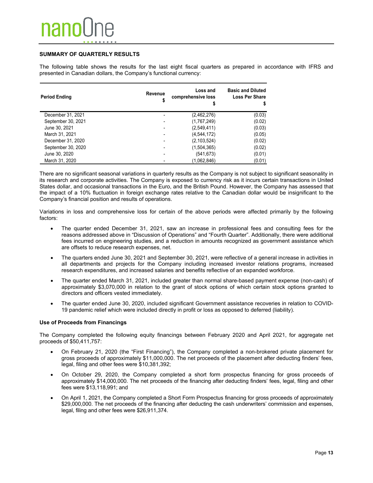#### **SUMMARY OF QUARTERLY RESULTS**

The following table shows the results for the last eight fiscal quarters as prepared in accordance with IFRS and presented in Canadian dollars, the Company's functional currency:

| <b>Period Ending</b> | Revenue | Loss and<br>comprehensive loss | <b>Basic and Diluted</b><br><b>Loss Per Share</b> |
|----------------------|---------|--------------------------------|---------------------------------------------------|
| December 31, 2021    |         | (2,462,276)                    | (0.03)                                            |
| September 30, 2021   |         | (1,767,249)                    | (0.02)                                            |
| June 30, 2021        |         | (2,549,411)                    | (0.03)                                            |
| March 31, 2021       |         | (4,544,172)                    | (0.05)                                            |
| December 31, 2020    |         | (2,103,524)                    | (0.02)                                            |
| September 30, 2020   |         | (1,504,365)                    | (0.02)                                            |
| June 30, 2020        |         | (541, 673)                     | (0.01)                                            |
| March 31, 2020       |         | (1,062,846)                    | (0.01)                                            |

There are no significant seasonal variations in quarterly results as the Company is not subject to significant seasonality in its research and corporate activities. The Company is exposed to currency risk as it incurs certain transactions in United States dollar, and occasional transactions in the Euro, and the British Pound. However, the Company has assessed that the impact of a 10% fluctuation in foreign exchange rates relative to the Canadian dollar would be insignificant to the Company's financial position and results of operations.

Variations in loss and comprehensive loss for certain of the above periods were affected primarily by the following factors:

- The quarter ended December 31, 2021, saw an increase in professional fees and consulting fees for the reasons addressed above in "Discussion of Operations" and "Fourth Quarter". Additionally, there were additional fees incurred on engineering studies, and a reduction in amounts recognized as government assistance which are offsets to reduce research expenses, net.
- The quarters ended June 30, 2021 and September 30, 2021, were reflective of a general increase in activities in all departments and projects for the Company including increased investor relations programs, increased research expenditures, and increased salaries and benefits reflective of an expanded workforce.
- The quarter ended March 31, 2021, included greater than normal share-based payment expense (non-cash) of approximately \$3,070,000 in relation to the grant of stock options of which certain stock options granted to directors and officers vested immediately.
- The quarter ended June 30, 2020, included significant Government assistance recoveries in relation to COVID-19 pandemic relief which were included directly in profit or loss as opposed to deferred (liability).

#### **Use of Proceeds from Financings**

The Company completed the following equity financings between February 2020 and April 2021, for aggregate net proceeds of \$50,411,757:

- On February 21, 2020 (the "First Financing"), the Company completed a non-brokered private placement for gross proceeds of approximately \$11,000,000. The net proceeds of the placement after deducting finders' fees, legal, filing and other fees were \$10,381,392;
- On October 29, 2020, the Company completed a short form prospectus financing for gross proceeds of approximately \$14,000,000. The net proceeds of the financing after deducting finders' fees, legal, filing and other fees were \$13,118,991; and
- On April 1, 2021, the Company completed a Short Form Prospectus financing for gross proceeds of approximately \$29,000,000. The net proceeds of the financing after deducting the cash underwriters' commission and expenses, legal, filing and other fees were \$26,911,374.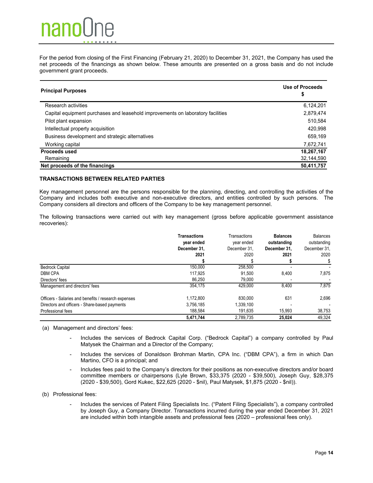# nanr

For the period from closing of the First Financing (February 21, 2020) to December 31, 2021, the Company has used the net proceeds of the financings as shown below. These amounts are presented on a gross basis and do not include government grant proceeds.

| <b>Principal Purposes</b>                                                       | Use of Proceeds<br>\$ |
|---------------------------------------------------------------------------------|-----------------------|
| Research activities                                                             | 6,124,201             |
| Capital equipment purchases and leasehold improvements on laboratory facilities | 2,879,474             |
| Pilot plant expansion                                                           | 510,584               |
| Intellectual property acquisition                                               | 420,998               |
| Business development and strategic alternatives                                 | 659,169               |
| Working capital                                                                 | 7,672,741             |
| <b>Proceeds used</b>                                                            | 18,267,167            |
| Remaining                                                                       | 32,144,590            |
| Net proceeds of the financings                                                  | 50,411,757            |

#### **TRANSACTIONS BETWEEN RELATED PARTIES**

Key management personnel are the persons responsible for the planning, directing, and controlling the activities of the Company and includes both executive and non-executive directors, and entities controlled by such persons. The Company considers all directors and officers of the Company to be key management personnel.

The following transactions were carried out with key management (gross before applicable government assistance recoveries):

|                                                      | <b>Transactions</b><br>year ended<br>December 31. | Transactions<br>year ended<br>December 31. | <b>Balances</b><br>outstanding<br>December 31. | <b>Balances</b><br>outstanding<br>December 31. |
|------------------------------------------------------|---------------------------------------------------|--------------------------------------------|------------------------------------------------|------------------------------------------------|
|                                                      | 2021                                              | 2020                                       | 2021                                           | 2020                                           |
| <b>Bedrock Capital</b>                               | 150,000                                           | 258,500                                    |                                                |                                                |
| DBM CPA                                              | 117.925                                           | 91,500                                     | 8,400                                          | 7,875                                          |
| Directors' fees                                      | 86.250                                            | 79,000                                     |                                                |                                                |
| Management and directors' fees                       | 354,175                                           | 429,000                                    | 8,400                                          | 7,875                                          |
| Officers - Salaries and benefits / research expenses | 1.172.800                                         | 830.000                                    | 631                                            | 2,696                                          |
| Directors and officers - Share-based payments        | 3,756,185                                         | 1,339,100                                  |                                                |                                                |
| Professional fees                                    | 188.584                                           | 191,635                                    | 15,993                                         | 38,753                                         |
|                                                      | 5,471,744                                         | 2,789,735                                  | 25.024                                         | 49.324                                         |

(a) Management and directors' fees:

- Includes the services of Bedrock Capital Corp. ("Bedrock Capital") a company controlled by Paul Matysek the Chairman and a Director of the Company;
- Includes the services of Donaldson Brohman Martin, CPA Inc. ("DBM CPA"), a firm in which Dan Martino, CFO is a principal; and
- Includes fees paid to the Company's directors for their positions as non-executive directors and/or board committee members or chairpersons (Lyle Brown, \$33,375 (2020 - \$39,500), Joseph Guy, \$28,375 (2020 - \$39,500), Gord Kukec, \$22,625 (2020 - \$nil), Paul Matysek, \$1,875 (2020 - \$nil)).

(b) Professional fees:

- Includes the services of Patent Filing Specialists Inc. ("Patent Filing Specialists"), a company controlled by Joseph Guy, a Company Director. Transactions incurred during the year ended December 31, 2021 are included within both intangible assets and professional fees (2020 – professional fees only).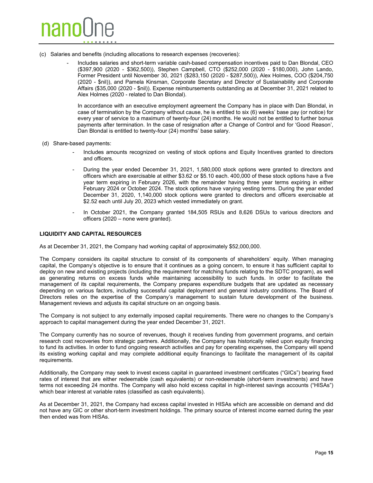# nanr

- (c) Salaries and benefits (including allocations to research expenses (recoveries):
	- Includes salaries and short-term variable cash-based compensation incentives paid to Dan Blondal, CEO (\$397,900 (2020 - \$362,500)), Stephen Campbell, CTO (\$252,000 (2020 - \$180,000), John Lando, Former President until November 30, 2021 (\$283,150 (2020 - \$287,500)), Alex Holmes, COO (\$204,750 (2020 - \$nil)), and Pamela Kinsman, Corporate Secretary and Director of Sustainability and Corporate Affairs (\$35,000 (2020 - \$nil)). Expense reimbursements outstanding as at December 31, 2021 related to Alex Holmes (2020 - related to Dan Blondal).

In accordance with an executive employment agreement the Company has in place with Dan Blondal, in case of termination by the Company without cause, he is entitled to six (6) weeks' base pay (or notice) for every year of service to a maximum of twenty-four (24) months. He would not be entitled to further bonus payments after termination. In the case of resignation after a Change of Control and for 'Good Reason', Dan Blondal is entitled to twenty-four (24) months' base salary.

- (d) Share-based payments:
	- Includes amounts recognized on vesting of stock options and Equity Incentives granted to directors and officers.
	- During the year ended December 31, 2021, 1,580,000 stock options were granted to directors and officers which are exercisable at either \$3.62 or \$5.10 each. 400,000 of these stock options have a five year term expiring in February 2026, with the remainder having three year terms expiring in either February 2024 or October 2024. The stock options have varying vesting terms. During the year ended December 31, 2020, 1,140,000 stock options were granted to directors and officers exercisable at \$2.52 each until July 20, 2023 which vested immediately on grant.
	- In October 2021, the Company granted 184,505 RSUs and 8,626 DSUs to various directors and officers (2020 – none were granted).

#### **LIQUIDITY AND CAPITAL RESOURCES**

As at December 31, 2021, the Company had working capital of approximately \$52,000,000.

The Company considers its capital structure to consist of its components of shareholders' equity. When managing capital, the Company's objective is to ensure that it continues as a going concern, to ensure it has sufficient capital to deploy on new and existing projects (including the requirement for matching funds relating to the SDTC program), as well as generating returns on excess funds while maintaining accessibility to such funds. In order to facilitate the management of its capital requirements, the Company prepares expenditure budgets that are updated as necessary depending on various factors, including successful capital deployment and general industry conditions. The Board of Directors relies on the expertise of the Company's management to sustain future development of the business. Management reviews and adjusts its capital structure on an ongoing basis.

The Company is not subject to any externally imposed capital requirements. There were no changes to the Company's approach to capital management during the year ended December 31, 2021.

The Company currently has no source of revenues, though it receives funding from government programs, and certain research cost recoveries from strategic partners. Additionally, the Company has historically relied upon equity financing to fund its activities. In order to fund ongoing research activities and pay for operating expenses, the Company will spend its existing working capital and may complete additional equity financings to facilitate the management of its capital requirements.

Additionally, the Company may seek to invest excess capital in guaranteed investment certificates ("GICs") bearing fixed rates of interest that are either redeemable (cash equivalents) or non-redeemable (short-term investments) and have terms not exceeding 24 months. The Company will also hold excess capital in high-interest savings accounts ("HISAs") which bear interest at variable rates (classified as cash equivalents).

As at December 31, 2021, the Company had excess capital invested in HISAs which are accessible on demand and did not have any GIC or other short-term investment holdings. The primary source of interest income earned during the year then ended was from HISAs.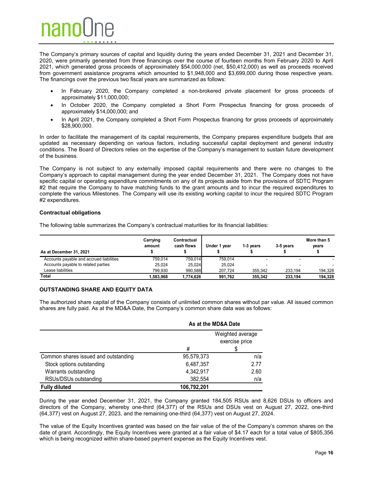The Company's primary sources of capital and liquidity during the years ended December 31, 2021 and December 31, 2020, were primarily generated from three financings over the course of fourteen months from February 2020 to April 2021, which generated gross proceeds of approximately \$54,000,000 (net, \$50,412,000) as well as proceeds received from government assistance programs which amounted to \$1,948,000 and \$3,699,000 during those respective years. The financings over the previous two fiscal years are summarized as follows:

- In February 2020, the Company completed a non-brokered private placement for gross proceeds of approximately \$11,000,000;
- In October 2020, the Company completed a Short Form Prospectus financing for gross proceeds of approximately \$14,000,000; and
- In April 2021, the Company completed a Short Form Prospectus financing for gross proceeds of approximately \$28,900,000.

In order to facilitate the management of its capital requirements, the Company prepares expenditure budgets that are updated as necessary depending on various factors, including successful capital deployment and general industry conditions. The Board of Directors relies on the expertise of the Company's management to sustain future development of the business.

The Company is not subject to any externally imposed capital requirements and there were no changes to the Company's approach to capital management during the year ended December 31, 2021. The Company does not have specific capital or operating expenditure commitments on any of its projects aside from the provisions of SDTC Program #2 that require the Company to have matching funds to the grant amounts and to incur the required expenditures to complete the various Milestones. The Company will use its existing working capital to incur the required SDTC Program #2 expenditures.

#### **Contractual obligations**

The following table summarizes the Company's contractual maturities for its financial liabilities:

| As at December 31, 2021                  | Carrying<br>amount | Contractual<br>cash flows | Under 1 year | 1-3 vears | 3-5 years | More than 5<br>years |
|------------------------------------------|--------------------|---------------------------|--------------|-----------|-----------|----------------------|
| Accounts payable and accrued liabilities | 759.014            | 759.014                   | 759.014      | $\sim$    |           |                      |
| Accounts payable to related parties      | 25.024             | 25.024                    | 25.024       | -         |           |                      |
| Lease liabilities                        | 799.930            | 990.588                   | 207.724      | 355.342   | 233.194   | 194,328              |
| Total                                    | 1.583.968          | 1.774.626                 | 991.762      | 355.342   | 233.194   | 194.328              |

#### **OUTSTANDING SHARE AND EQUITY DATA**

The authorized share capital of the Company consists of unlimited common shares without par value. All issued common shares are fully paid. As at the MD&A Date, the Company's common share data was as follows:

|                                      | As at the MD&A Date |                                    |  |
|--------------------------------------|---------------------|------------------------------------|--|
|                                      |                     | Weighted average<br>exercise price |  |
|                                      | #                   |                                    |  |
| Common shares issued and outstanding | 95,579,373          | n/a                                |  |
| Stock options outstanding            | 6,487,357           | 2.77                               |  |
| Warrants outstanding                 | 4,342,917           | 2.60                               |  |
| RSUs/DSUs outstanding                | 382,554             | n/a                                |  |
| <b>Fully diluted</b>                 | 106,792,201         |                                    |  |

During the year ended December 31, 2021, the Company granted 184,505 RSUs and 8,626 DSUs to officers and directors of the Company, whereby one-third (64,377) of the RSUs and DSUs vest on August 27, 2022, one-third (64,377) vest on August 27, 2023, and the remaining one-third (64,377) vest on August 27, 2024.

The value of the Equity Incentives granted was based on the fair value of the of the Company's common shares on the date of grant. Accordingly, the Equity Incentives were granted at a fair value of \$4.17 each for a total value of \$805,356 which is being recognized within share-based payment expense as the Equity Incentives vest.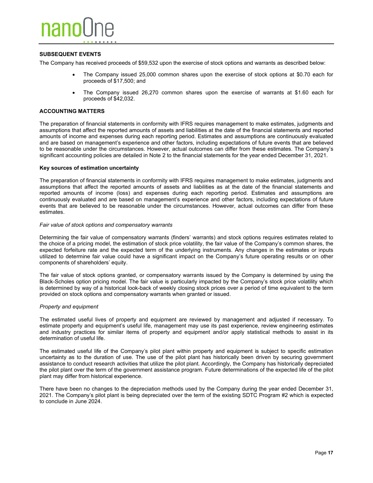## nanr

#### **SUBSEQUENT EVENTS**

The Company has received proceeds of \$59,532 upon the exercise of stock options and warrants as described below:

- The Company issued 25,000 common shares upon the exercise of stock options at \$0.70 each for proceeds of \$17,500; and
- The Company issued 26,270 common shares upon the exercise of warrants at \$1.60 each for proceeds of \$42,032.

#### **ACCOUNTING MATTERS**

The preparation of financial statements in conformity with IFRS requires management to make estimates, judgments and assumptions that affect the reported amounts of assets and liabilities at the date of the financial statements and reported amounts of income and expenses during each reporting period. Estimates and assumptions are continuously evaluated and are based on management's experience and other factors, including expectations of future events that are believed to be reasonable under the circumstances. However, actual outcomes can differ from these estimates. The Company's significant accounting policies are detailed in Note 2 to the financial statements for the year ended December 31, 2021.

#### **Key sources of estimation uncertainty**

The preparation of financial statements in conformity with IFRS requires management to make estimates, judgments and assumptions that affect the reported amounts of assets and liabilities as at the date of the financial statements and reported amounts of income (loss) and expenses during each reporting period. Estimates and assumptions are continuously evaluated and are based on management's experience and other factors, including expectations of future events that are believed to be reasonable under the circumstances. However, actual outcomes can differ from these estimates.

#### *Fair value of stock options and compensatory warrants*

Determining the fair value of compensatory warrants (finders' warrants) and stock options requires estimates related to the choice of a pricing model, the estimation of stock price volatility, the fair value of the Company's common shares, the expected forfeiture rate and the expected term of the underlying instruments. Any changes in the estimates or inputs utilized to determine fair value could have a significant impact on the Company's future operating results or on other components of shareholders' equity.

The fair value of stock options granted, or compensatory warrants issued by the Company is determined by using the Black-Scholes option pricing model. The fair value is particularly impacted by the Company's stock price volatility which is determined by way of a historical look-back of weekly closing stock prices over a period of time equivalent to the term provided on stock options and compensatory warrants when granted or issued.

#### *Property and equipment*

The estimated useful lives of property and equipment are reviewed by management and adjusted if necessary. To estimate property and equipment's useful life, management may use its past experience, review engineering estimates and industry practices for similar items of property and equipment and/or apply statistical methods to assist in its determination of useful life.

The estimated useful life of the Company's pilot plant within property and equipment is subject to specific estimation uncertainty as to the duration of use. The use of the pilot plant has historically been driven by securing government assistance to conduct research activities that utilize the pilot plant. Accordingly, the Company has historically depreciated the pilot plant over the term of the government assistance program. Future determinations of the expected life of the pilot plant may differ from historical experience.

There have been no changes to the depreciation methods used by the Company during the year ended December 31, 2021. The Company's pilot plant is being depreciated over the term of the existing SDTC Program #2 which is expected to conclude in June 2024.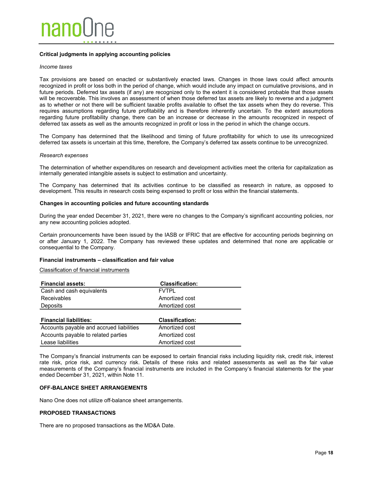#### **Critical judgments in applying accounting policies**

#### *Income taxes*

Tax provisions are based on enacted or substantively enacted laws. Changes in those laws could affect amounts recognized in profit or loss both in the period of change, which would include any impact on cumulative provisions, and in future periods. Deferred tax assets (if any) are recognized only to the extent it is considered probable that those assets will be recoverable. This involves an assessment of when those deferred tax assets are likely to reverse and a judgment as to whether or not there will be sufficient taxable profits available to offset the tax assets when they do reverse. This requires assumptions regarding future profitability and is therefore inherently uncertain. To the extent assumptions regarding future profitability change, there can be an increase or decrease in the amounts recognized in respect of deferred tax assets as well as the amounts recognized in profit or loss in the period in which the change occurs.

The Company has determined that the likelihood and timing of future profitability for which to use its unrecognized deferred tax assets is uncertain at this time, therefore, the Company's deferred tax assets continue to be unrecognized.

#### *Research expenses*

The determination of whether expenditures on research and development activities meet the criteria for capitalization as internally generated intangible assets is subject to estimation and uncertainty.

The Company has determined that its activities continue to be classified as research in nature, as opposed to development. This results in research costs being expensed to profit or loss within the financial statements.

#### **Changes in accounting policies and future accounting standards**

During the year ended December 31, 2021, there were no changes to the Company's significant accounting policies, nor any new accounting policies adopted.

Certain pronouncements have been issued by the IASB or IFRIC that are effective for accounting periods beginning on or after January 1, 2022. The Company has reviewed these updates and determined that none are applicable or consequential to the Company.

#### **Financial instruments – classification and fair value**

#### Classification of financial instruments

| <b>Financial assets:</b>                 | <b>Classification:</b> |
|------------------------------------------|------------------------|
| Cash and cash equivalents                | <b>FVTPL</b>           |
| Receivables                              | Amortized cost         |
| Deposits                                 | Amortized cost         |
|                                          |                        |
| <b>Financial liabilities:</b>            | <b>Classification:</b> |
| Accounts payable and accrued liabilities | Amortized cost         |
| Accounts payable to related parties      | Amortized cost         |
| Lease liabilities                        | Amortized cost         |

The Company's financial instruments can be exposed to certain financial risks including liquidity risk, credit risk, interest rate risk, price risk, and currency risk. Details of these risks and related assessments as well as the fair value measurements of the Company's financial instruments are included in the Company's financial statements for the year ended December 31, 2021, within Note 11.

#### **OFF-BALANCE SHEET ARRANGEMENTS**

Nano One does not utilize off-balance sheet arrangements.

#### **PROPOSED TRANSACTIONS**

There are no proposed transactions as the MD&A Date.